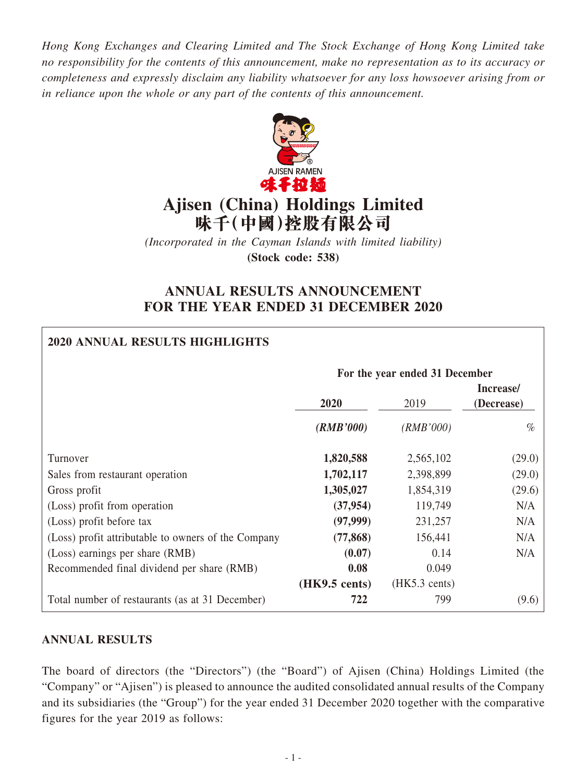*Hong Kong Exchanges and Clearing Limited and The Stock Exchange of Hong Kong Limited take no responsibility for the contents of this announcement, make no representation as to its accuracy or completeness and expressly disclaim any liability whatsoever for any loss howsoever arising from or in reliance upon the whole or any part of the contents of this announcement.*



# **Ajisen (China) Holdings Limited 味千(中國)控股有限公司**

*(Incorporated in the Cayman Islands with limited liability)* **(Stock code: 538)**

## **ANNUAL RESULTS ANNOUNCEMENT FOR THE YEAR ENDED 31 DECEMBER 2020**

## **2020 ANNUAL RESULTS HIGHLIGHTS**

|                                                     | For the year ended 31 December |                         |                         |  |  |
|-----------------------------------------------------|--------------------------------|-------------------------|-------------------------|--|--|
|                                                     | 2020<br>2019                   |                         | Increase/<br>(Decrease) |  |  |
|                                                     | (RMB'000)                      | (RMB'000)               | $\%$                    |  |  |
| Turnover                                            | 1,820,588                      | 2,565,102               | (29.0)                  |  |  |
| Sales from restaurant operation                     | 1,702,117                      | 2,398,899               | (29.0)                  |  |  |
| Gross profit                                        | 1,305,027                      | 1,854,319               | (29.6)                  |  |  |
| (Loss) profit from operation                        | (37, 954)                      | 119,749                 | N/A                     |  |  |
| (Loss) profit before tax                            | (97,999)                       | 231,257                 | N/A                     |  |  |
| (Loss) profit attributable to owners of the Company | (77, 868)                      | 156,441                 | N/A                     |  |  |
| (Loss) earnings per share (RMB)                     | (0.07)                         | 0.14                    | N/A                     |  |  |
| Recommended final dividend per share (RMB)          | 0.08                           | 0.049                   |                         |  |  |
|                                                     | $(HK9.5 \text{ cents})$        | $(HK5.3 \text{ cents})$ |                         |  |  |
| Total number of restaurants (as at 31 December)     | 722                            | 799                     | (9.6)                   |  |  |

## **ANNUAL RESULTS**

The board of directors (the "Directors") (the "Board") of Ajisen (China) Holdings Limited (the "Company" or "Ajisen") is pleased to announce the audited consolidated annual results of the Company and its subsidiaries (the "Group") for the year ended 31 December 2020 together with the comparative figures for the year 2019 as follows: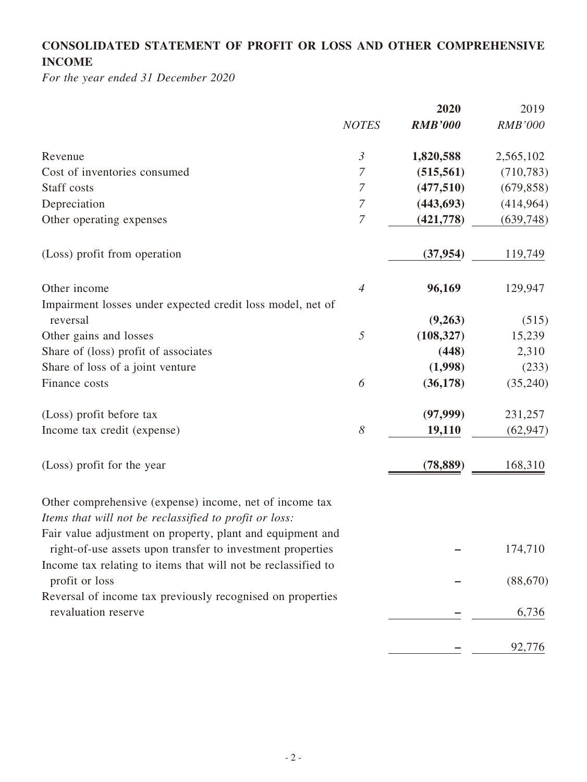## **CONSOLIDATED STATEMENT OF PROFIT OR LOSS AND OTHER COMPREHENSIVE INCOME**

*For the year ended 31 December 2020*

|                                                                                                                          |                       | 2020           | 2019           |
|--------------------------------------------------------------------------------------------------------------------------|-----------------------|----------------|----------------|
|                                                                                                                          | <b>NOTES</b>          | <b>RMB'000</b> | <b>RMB'000</b> |
| Revenue                                                                                                                  | $\mathfrak{Z}$        | 1,820,588      | 2,565,102      |
| Cost of inventories consumed                                                                                             | 7                     | (515, 561)     | (710, 783)     |
| Staff costs                                                                                                              | $\overline{7}$        | (477,510)      | (679, 858)     |
| Depreciation                                                                                                             | $\boldsymbol{7}$      | (443, 693)     | (414,964)      |
| Other operating expenses                                                                                                 | $\boldsymbol{7}$      | (421, 778)     | (639, 748)     |
| (Loss) profit from operation                                                                                             |                       | (37, 954)      | 119,749        |
| Other income                                                                                                             | $\overline{4}$        | 96,169         | 129,947        |
| Impairment losses under expected credit loss model, net of                                                               |                       |                |                |
| reversal                                                                                                                 |                       | (9,263)        | (515)          |
| Other gains and losses                                                                                                   | 5                     | (108, 327)     | 15,239         |
| Share of (loss) profit of associates                                                                                     |                       | (448)          | 2,310          |
| Share of loss of a joint venture                                                                                         |                       | (1,998)        | (233)          |
| Finance costs                                                                                                            | 6                     | (36, 178)      | (35,240)       |
| (Loss) profit before tax                                                                                                 |                       | (97, 999)      | 231,257        |
| Income tax credit (expense)                                                                                              | $\boldsymbol{\delta}$ | 19,110         | (62, 947)      |
| (Loss) profit for the year                                                                                               |                       | (78, 889)      | 168,310        |
| Other comprehensive (expense) income, net of income tax                                                                  |                       |                |                |
| Items that will not be reclassified to profit or loss:                                                                   |                       |                |                |
| Fair value adjustment on property, plant and equipment and<br>right-of-use assets upon transfer to investment properties |                       |                | 174,710        |
| Income tax relating to items that will not be reclassified to<br>profit or loss                                          |                       |                | (88, 670)      |
| Reversal of income tax previously recognised on properties                                                               |                       |                |                |
| revaluation reserve                                                                                                      |                       |                | 6,736          |
|                                                                                                                          |                       |                | 92,776         |
|                                                                                                                          |                       |                |                |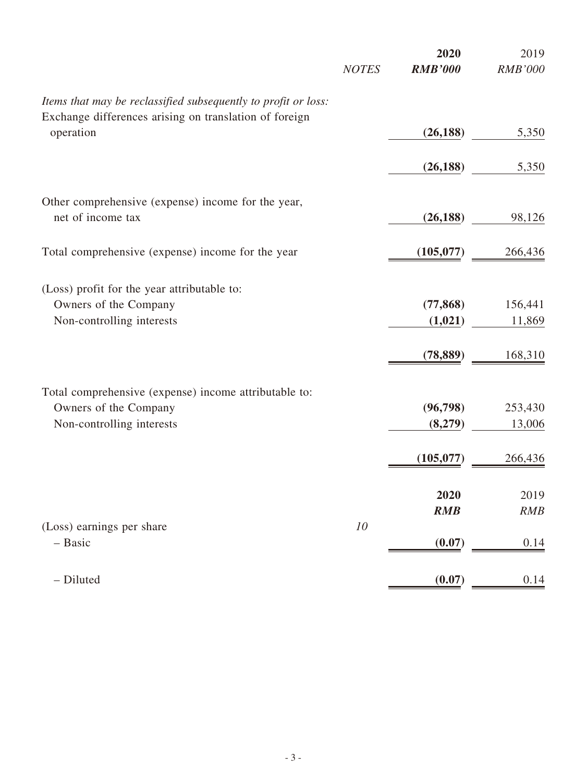|                                                                |              | 2020           | 2019           |
|----------------------------------------------------------------|--------------|----------------|----------------|
|                                                                | <b>NOTES</b> | <b>RMB'000</b> | <b>RMB'000</b> |
| Items that may be reclassified subsequently to profit or loss: |              |                |                |
| Exchange differences arising on translation of foreign         |              |                |                |
| operation                                                      |              | (26, 188)      | 5,350          |
|                                                                |              | (26, 188)      | 5,350          |
|                                                                |              |                |                |
| Other comprehensive (expense) income for the year,             |              |                |                |
| net of income tax                                              |              | (26, 188)      | 98,126         |
| Total comprehensive (expense) income for the year              |              | (105, 077)     | 266,436        |
|                                                                |              |                |                |
| (Loss) profit for the year attributable to:                    |              |                |                |
| Owners of the Company                                          |              | (77, 868)      | 156,441        |
| Non-controlling interests                                      |              | (1,021)        | 11,869         |
|                                                                |              | (78, 889)      | 168,310        |
|                                                                |              |                |                |
| Total comprehensive (expense) income attributable to:          |              |                |                |
| Owners of the Company                                          |              | (96, 798)      | 253,430        |
| Non-controlling interests                                      |              | (8,279)        | 13,006         |
|                                                                |              | (105, 077)     | 266,436        |
|                                                                |              |                |                |
|                                                                |              | 2020           | 2019           |
|                                                                |              | <b>RMB</b>     | RMB            |
| (Loss) earnings per share<br>- Basic                           | 10           |                |                |
|                                                                |              | (0.07)         | 0.14           |
| - Diluted                                                      |              | (0.07)         | 0.14           |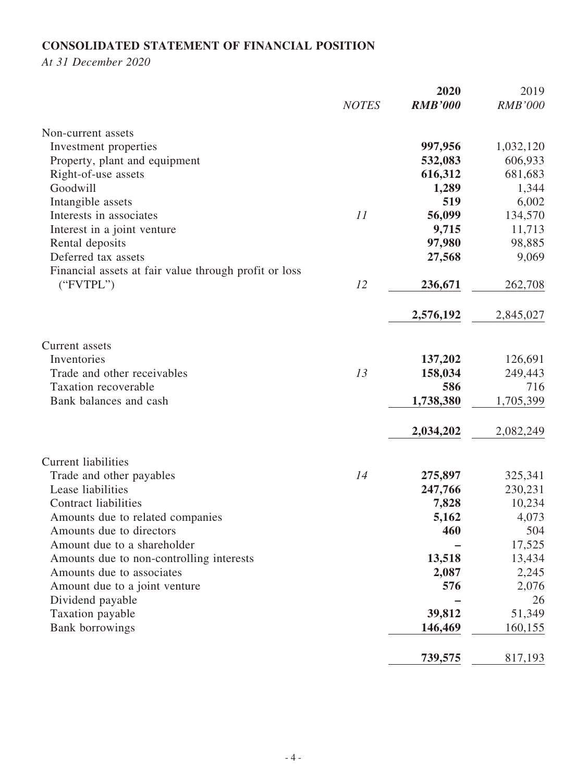## **CONSOLIDATED STATEMENT OF FINANCIAL POSITION**

*At 31 December 2020*

|                                                       |              | 2020           | 2019           |
|-------------------------------------------------------|--------------|----------------|----------------|
|                                                       | <b>NOTES</b> | <b>RMB'000</b> | <b>RMB'000</b> |
| Non-current assets                                    |              |                |                |
| Investment properties                                 |              | 997,956        | 1,032,120      |
| Property, plant and equipment                         |              | 532,083        | 606,933        |
| Right-of-use assets                                   |              | 616,312        | 681,683        |
| Goodwill                                              |              | 1,289          | 1,344          |
| Intangible assets                                     |              | 519            | 6,002          |
| Interests in associates                               | 11           | 56,099         | 134,570        |
| Interest in a joint venture                           |              | 9,715          | 11,713         |
| Rental deposits                                       |              | 97,980         | 98,885         |
| Deferred tax assets                                   |              | 27,568         | 9,069          |
| Financial assets at fair value through profit or loss |              |                |                |
| ("FVTPL")                                             | 12           | 236,671        | 262,708        |
|                                                       |              | 2,576,192      | 2,845,027      |
| Current assets                                        |              |                |                |
| Inventories                                           |              | 137,202        | 126,691        |
| Trade and other receivables                           | 13           | 158,034        | 249,443        |
| <b>Taxation recoverable</b>                           |              | 586            | 716            |
| Bank balances and cash                                |              | 1,738,380      | 1,705,399      |
|                                                       |              | 2,034,202      | 2,082,249      |
| Current liabilities                                   |              |                |                |
| Trade and other payables                              | 14           | 275,897        | 325,341        |
| Lease liabilities                                     |              | 247,766        | 230,231        |
| <b>Contract liabilities</b>                           |              | 7,828          | 10,234         |
| Amounts due to related companies                      |              | 5,162          | 4,073          |
| Amounts due to directors                              |              | 460            | 504            |
| Amount due to a shareholder                           |              |                | 17,525         |
| Amounts due to non-controlling interests              |              | 13,518         | 13,434         |
| Amounts due to associates                             |              | 2,087          | 2,245          |
| Amount due to a joint venture                         |              | 576            | 2,076          |
| Dividend payable                                      |              |                | 26             |
| Taxation payable                                      |              | 39,812         | 51,349         |
| Bank borrowings                                       |              | 146,469        | 160,155        |
|                                                       |              | 739,575        | 817,193        |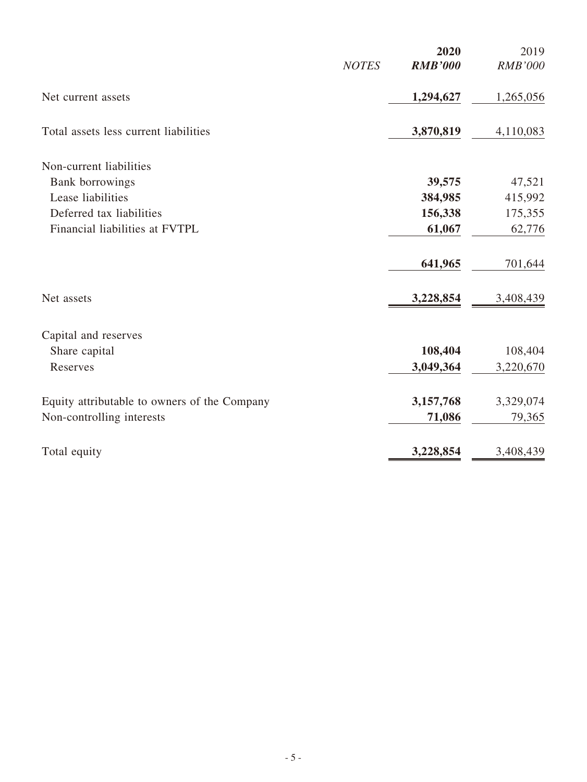|                                              | <b>NOTES</b> | 2020<br><b>RMB'000</b> | 2019<br><b>RMB'000</b> |
|----------------------------------------------|--------------|------------------------|------------------------|
| Net current assets                           |              | 1,294,627              | 1,265,056              |
| Total assets less current liabilities        |              | 3,870,819              | 4,110,083              |
| Non-current liabilities                      |              |                        |                        |
| Bank borrowings                              |              | 39,575                 | 47,521                 |
| Lease liabilities                            |              | 384,985                | 415,992                |
| Deferred tax liabilities                     |              | 156,338                | 175,355                |
| Financial liabilities at FVTPL               |              | 61,067                 | 62,776                 |
|                                              |              | 641,965                | 701,644                |
| Net assets                                   |              | 3,228,854              | 3,408,439              |
| Capital and reserves                         |              |                        |                        |
| Share capital                                |              | 108,404                | 108,404                |
| Reserves                                     |              | 3,049,364              | 3,220,670              |
| Equity attributable to owners of the Company |              | 3,157,768              | 3,329,074              |
| Non-controlling interests                    |              | 71,086                 | 79,365                 |
| Total equity                                 |              | 3,228,854              | 3,408,439              |
|                                              |              |                        |                        |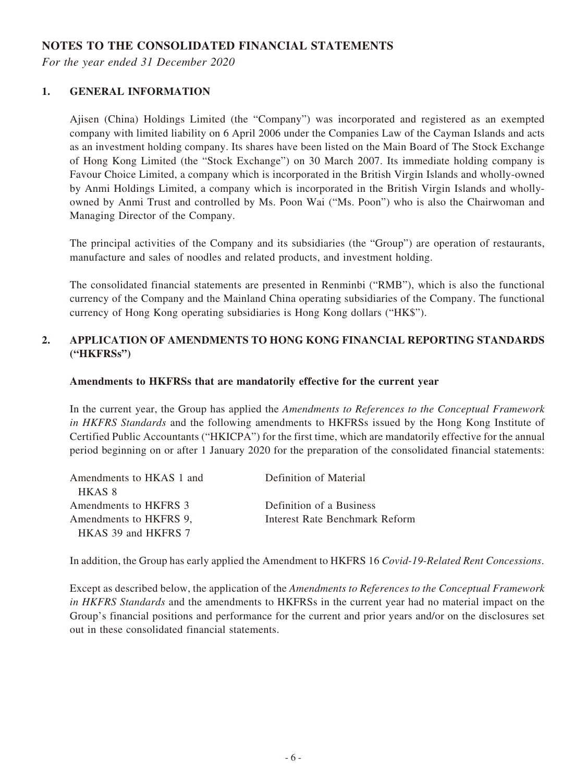## **NOTES TO THE CONSOLIDATED FINANCIAL STATEMENTS**

*For the year ended 31 December 2020*

#### **1. GENERAL INFORMATION**

Ajisen (China) Holdings Limited (the "Company") was incorporated and registered as an exempted company with limited liability on 6 April 2006 under the Companies Law of the Cayman Islands and acts as an investment holding company. Its shares have been listed on the Main Board of The Stock Exchange of Hong Kong Limited (the "Stock Exchange") on 30 March 2007. Its immediate holding company is Favour Choice Limited, a company which is incorporated in the British Virgin Islands and wholly-owned by Anmi Holdings Limited, a company which is incorporated in the British Virgin Islands and whollyowned by Anmi Trust and controlled by Ms. Poon Wai ("Ms. Poon") who is also the Chairwoman and Managing Director of the Company.

The principal activities of the Company and its subsidiaries (the "Group") are operation of restaurants, manufacture and sales of noodles and related products, and investment holding.

The consolidated financial statements are presented in Renminbi ("RMB"), which is also the functional currency of the Company and the Mainland China operating subsidiaries of the Company. The functional currency of Hong Kong operating subsidiaries is Hong Kong dollars ("HK\$").

#### **2. APPLICATION OF AMENDMENTS TO HONG KONG FINANCIAL REPORTING STANDARDS ("HKFRSs")**

#### **Amendments to HKFRSs that are mandatorily effective for the current year**

In the current year, the Group has applied the *Amendments to References to the Conceptual Framework in HKFRS Standards* and the following amendments to HKFRSs issued by the Hong Kong Institute of Certified Public Accountants ("HKICPA") for the first time, which are mandatorily effective for the annual period beginning on or after 1 January 2020 for the preparation of the consolidated financial statements:

| Amendments to HKAS 1 and | Definition of Material                |
|--------------------------|---------------------------------------|
| HKAS 8                   |                                       |
| Amendments to HKFRS 3    | Definition of a Business              |
| Amendments to HKFRS 9,   | <b>Interest Rate Benchmark Reform</b> |
| HKAS 39 and HKFRS 7      |                                       |

In addition, the Group has early applied the Amendment to HKFRS 16 *Covid-19-Related Rent Concessions*.

Except as described below, the application of the *Amendments to References to the Conceptual Framework in HKFRS Standards* and the amendments to HKFRSs in the current year had no material impact on the Group's financial positions and performance for the current and prior years and/or on the disclosures set out in these consolidated financial statements.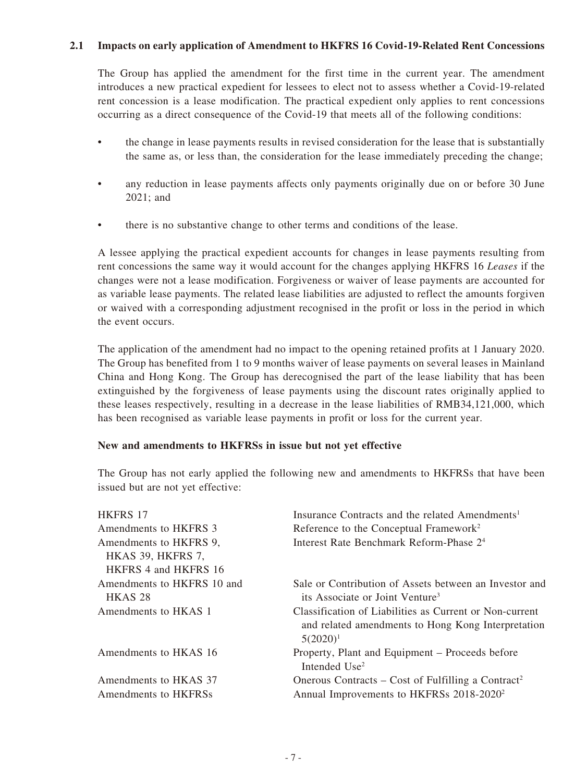#### **2.1 Impacts on early application of Amendment to HKFRS 16 Covid-19-Related Rent Concessions**

The Group has applied the amendment for the first time in the current year. The amendment introduces a new practical expedient for lessees to elect not to assess whether a Covid-19-related rent concession is a lease modification. The practical expedient only applies to rent concessions occurring as a direct consequence of the Covid-19 that meets all of the following conditions:

- the change in lease payments results in revised consideration for the lease that is substantially the same as, or less than, the consideration for the lease immediately preceding the change;
- any reduction in lease payments affects only payments originally due on or before 30 June 2021; and
- there is no substantive change to other terms and conditions of the lease.

A lessee applying the practical expedient accounts for changes in lease payments resulting from rent concessions the same way it would account for the changes applying HKFRS 16 *Leases* if the changes were not a lease modification. Forgiveness or waiver of lease payments are accounted for as variable lease payments. The related lease liabilities are adjusted to reflect the amounts forgiven or waived with a corresponding adjustment recognised in the profit or loss in the period in which the event occurs.

The application of the amendment had no impact to the opening retained profits at 1 January 2020. The Group has benefited from 1 to 9 months waiver of lease payments on several leases in Mainland China and Hong Kong. The Group has derecognised the part of the lease liability that has been extinguished by the forgiveness of lease payments using the discount rates originally applied to these leases respectively, resulting in a decrease in the lease liabilities of RMB34,121,000, which has been recognised as variable lease payments in profit or loss for the current year.

#### **New and amendments to HKFRSs in issue but not yet effective**

The Group has not early applied the following new and amendments to HKFRSs that have been issued but are not yet effective:

| <b>HKFRS 17</b>                                  | Insurance Contracts and the related Amendments <sup>1</sup>                                                                  |
|--------------------------------------------------|------------------------------------------------------------------------------------------------------------------------------|
| Amendments to HKFRS 3                            | Reference to the Conceptual Framework <sup>2</sup>                                                                           |
| Amendments to HKFRS 9,<br>HKAS 39, HKFRS 7,      | Interest Rate Benchmark Reform-Phase 2 <sup>4</sup>                                                                          |
| HKFRS 4 and HKFRS 16                             |                                                                                                                              |
| Amendments to HKFRS 10 and<br>HKAS <sub>28</sub> | Sale or Contribution of Assets between an Investor and<br>its Associate or Joint Venture <sup>3</sup>                        |
| Amendments to HKAS 1                             | Classification of Liabilities as Current or Non-current<br>and related amendments to Hong Kong Interpretation<br>$5(2020)^1$ |
| Amendments to HKAS 16                            | Property, Plant and Equipment - Proceeds before<br>Intended Use <sup>2</sup>                                                 |
| Amendments to HKAS 37                            | Onerous Contracts – Cost of Fulfilling a Contract <sup>2</sup>                                                               |
| Amendments to HKFRSs                             | Annual Improvements to HKFRSs 2018-2020 <sup>2</sup>                                                                         |
|                                                  |                                                                                                                              |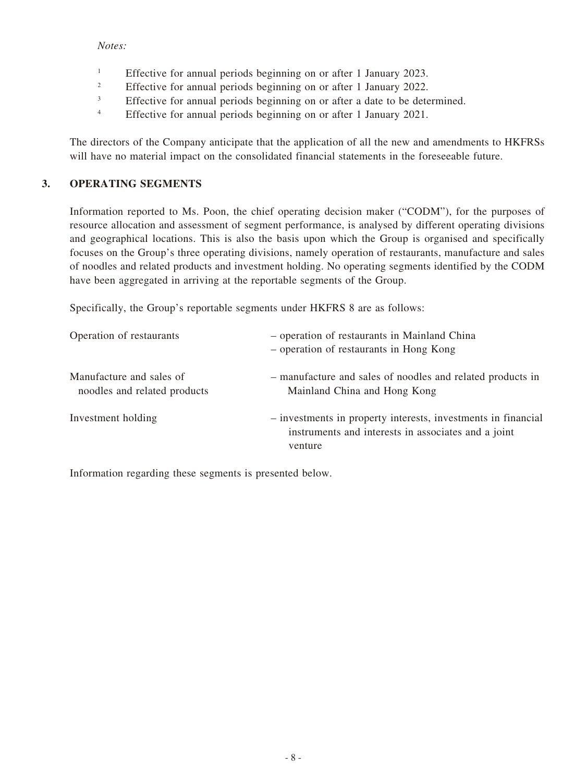#### *Notes:*

- <sup>1</sup> Effective for annual periods beginning on or after 1 January 2023.
- <sup>2</sup> Effective for annual periods beginning on or after 1 January 2022.
- <sup>3</sup> Effective for annual periods beginning on or after a date to be determined.
- <sup>4</sup> Effective for annual periods beginning on or after 1 January 2021.

The directors of the Company anticipate that the application of all the new and amendments to HKFRSs will have no material impact on the consolidated financial statements in the foreseeable future.

#### **3. OPERATING SEGMENTS**

Information reported to Ms. Poon, the chief operating decision maker ("CODM"), for the purposes of resource allocation and assessment of segment performance, is analysed by different operating divisions and geographical locations. This is also the basis upon which the Group is organised and specifically focuses on the Group's three operating divisions, namely operation of restaurants, manufacture and sales of noodles and related products and investment holding. No operating segments identified by the CODM have been aggregated in arriving at the reportable segments of the Group.

Specifically, the Group's reportable segments under HKFRS 8 are as follows:

| Operation of restaurants                                 | - operation of restaurants in Mainland China<br>- operation of restaurants in Hong Kong                                         |
|----------------------------------------------------------|---------------------------------------------------------------------------------------------------------------------------------|
| Manufacture and sales of<br>noodles and related products | - manufacture and sales of noodles and related products in<br>Mainland China and Hong Kong                                      |
| Investment holding                                       | - investments in property interests, investments in financial<br>instruments and interests in associates and a joint<br>venture |

Information regarding these segments is presented below.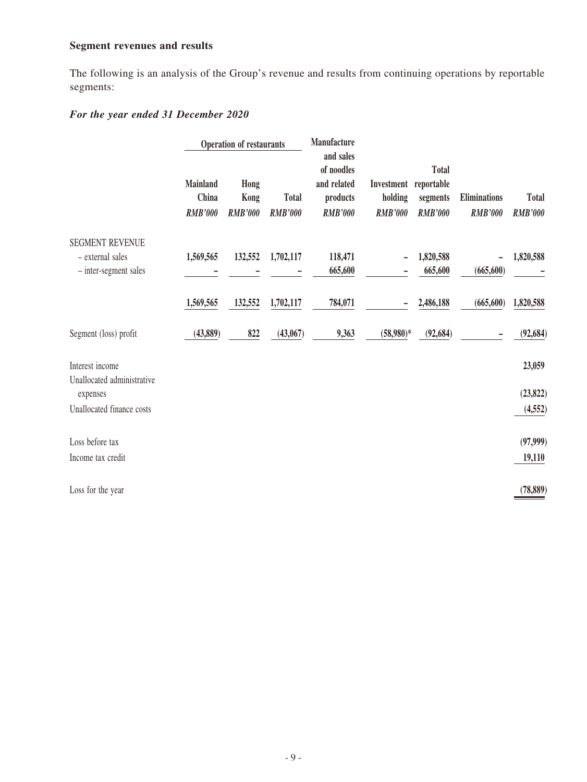## **Segment revenues and results**

The following is an analysis of the Group's revenue and results from continuing operations by reportable segments:

## *For the year ended 31 December 2020*

|                                                                     |                                            | <b>Operation of restaurants</b> |                                | Manufacture<br>and sales                                |                                                    |                                            |                                |                                |
|---------------------------------------------------------------------|--------------------------------------------|---------------------------------|--------------------------------|---------------------------------------------------------|----------------------------------------------------|--------------------------------------------|--------------------------------|--------------------------------|
|                                                                     | <b>Mainland</b><br>China<br><b>RMB'000</b> | Hong<br>Kong<br><b>RMB'000</b>  | <b>Total</b><br><b>RMB'000</b> | of noodles<br>and related<br>products<br><b>RMB'000</b> | Investment reportable<br>holding<br><b>RMB'000</b> | <b>Total</b><br>segments<br><b>RMB'000</b> | Eliminations<br><b>RMB'000</b> | <b>Total</b><br><b>RMB'000</b> |
| <b>SEGMENT REVENUE</b><br>- external sales<br>- inter-segment sales | 1,569,565                                  | 132,552                         | 1,702,117                      | 118,471<br>665,600                                      |                                                    | 1,820,588<br>665,600                       | (665, 600)                     | 1,820,588                      |
|                                                                     | 1,569,565                                  | 132,552                         | 1,702,117                      | 784,071                                                 |                                                    | 2,486,188                                  | (665, 600)                     | 1,820,588                      |
| Segment (loss) profit                                               | (43,889)                                   | 822                             | (43,067)                       | 9,363                                                   | $(58,980)*$                                        | (92, 684)                                  |                                | (92, 684)                      |
| Interest income<br>Unallocated administrative                       |                                            |                                 |                                |                                                         |                                                    |                                            |                                | 23,059                         |
| expenses                                                            |                                            |                                 |                                |                                                         |                                                    |                                            |                                | (23, 822)                      |
| Unallocated finance costs                                           |                                            |                                 |                                |                                                         |                                                    |                                            |                                | (4, 552)                       |
| Loss before tax                                                     |                                            |                                 |                                |                                                         |                                                    |                                            |                                | (97, 999)                      |
| Income tax credit                                                   |                                            |                                 |                                |                                                         |                                                    |                                            |                                | 19,110                         |
| Loss for the year                                                   |                                            |                                 |                                |                                                         |                                                    |                                            |                                | (78, 889)                      |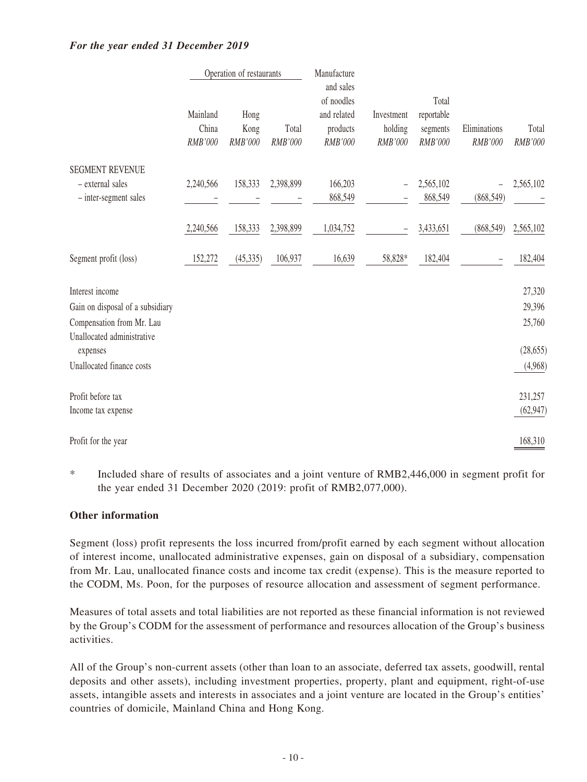#### *For the year ended 31 December 2019*

|                                                                                                                | Manufacture<br>Operation of restaurants |                         |                  |                                                               |                                  |                                            |                         |                            |
|----------------------------------------------------------------------------------------------------------------|-----------------------------------------|-------------------------|------------------|---------------------------------------------------------------|----------------------------------|--------------------------------------------|-------------------------|----------------------------|
|                                                                                                                | Mainland<br>China<br>RMB'000            | Hong<br>Kong<br>RMB'000 | Total<br>RMB'000 | and sales<br>of noodles<br>and related<br>products<br>RMB'000 | Investment<br>holding<br>RMB'000 | Total<br>reportable<br>segments<br>RMB'000 | Eliminations<br>RMB'000 | Total<br>RMB'000           |
| <b>SEGMENT REVENUE</b><br>- external sales<br>- inter-segment sales                                            | 2,240,566                               | 158,333                 | 2,398,899        | 166,203<br>868,549                                            | $\overline{a}$                   | 2,565,102<br>868,549                       | (868, 549)              | 2,565,102                  |
|                                                                                                                | 2,240,566                               | 158,333                 | 2,398,899        | 1,034,752                                                     |                                  | 3,433,651                                  | (868, 549)              | 2,565,102                  |
| Segment profit (loss)                                                                                          | 152,272                                 | (45, 335)               | 106,937          | 16,639                                                        | 58,828*                          | 182,404                                    |                         | 182,404                    |
| Interest income<br>Gain on disposal of a subsidiary<br>Compensation from Mr. Lau<br>Unallocated administrative |                                         |                         |                  |                                                               |                                  |                                            |                         | 27,320<br>29,396<br>25,760 |
| expenses<br>Unallocated finance costs                                                                          |                                         |                         |                  |                                                               |                                  |                                            |                         | (28, 655)<br>(4,968)       |
| Profit before tax<br>Income tax expense                                                                        |                                         |                         |                  |                                                               |                                  |                                            |                         | 231,257<br>(62, 947)       |
| Profit for the year                                                                                            |                                         |                         |                  |                                                               |                                  |                                            |                         | 168,310                    |

\* Included share of results of associates and a joint venture of RMB2,446,000 in segment profit for the year ended 31 December 2020 (2019: profit of RMB2,077,000).

#### **Other information**

Segment (loss) profit represents the loss incurred from/profit earned by each segment without allocation of interest income, unallocated administrative expenses, gain on disposal of a subsidiary, compensation from Mr. Lau, unallocated finance costs and income tax credit (expense). This is the measure reported to the CODM, Ms. Poon, for the purposes of resource allocation and assessment of segment performance.

Measures of total assets and total liabilities are not reported as these financial information is not reviewed by the Group's CODM for the assessment of performance and resources allocation of the Group's business activities.

All of the Group's non-current assets (other than loan to an associate, deferred tax assets, goodwill, rental deposits and other assets), including investment properties, property, plant and equipment, right-of-use assets, intangible assets and interests in associates and a joint venture are located in the Group's entities' countries of domicile, Mainland China and Hong Kong.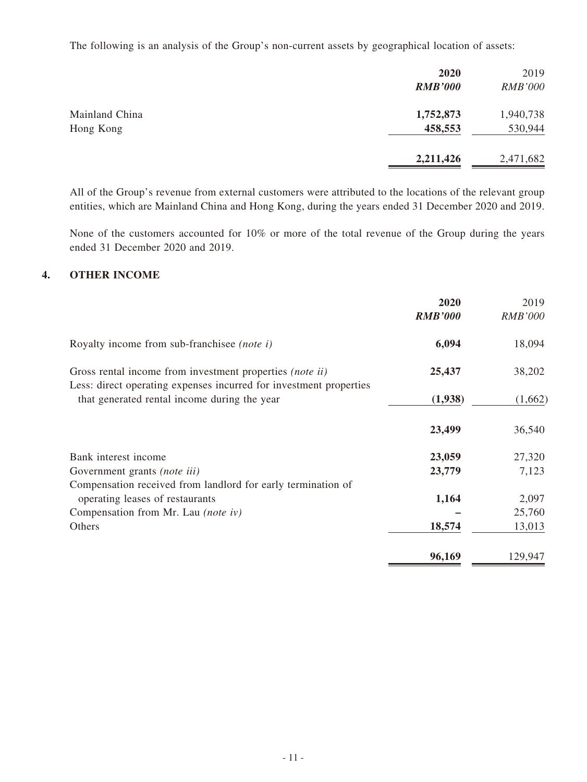The following is an analysis of the Group's non-current assets by geographical location of assets:

|                             | 2020<br><b>RMB'000</b> | 2019<br><b>RMB'000</b> |
|-----------------------------|------------------------|------------------------|
| Mainland China<br>Hong Kong | 1,752,873<br>458,553   | 1,940,738<br>530,944   |
|                             | 2,211,426              | 2,471,682              |

All of the Group's revenue from external customers were attributed to the locations of the relevant group entities, which are Mainland China and Hong Kong, during the years ended 31 December 2020 and 2019.

None of the customers accounted for 10% or more of the total revenue of the Group during the years ended 31 December 2020 and 2019.

#### **4. OTHER INCOME**

|                                                                                                                                       | 2020<br><b>RMB'000</b> | 2019<br><b>RMB'000</b> |
|---------------------------------------------------------------------------------------------------------------------------------------|------------------------|------------------------|
| Royalty income from sub-franchise ( <i>note i</i> )                                                                                   | 6,094                  | 18,094                 |
| Gross rental income from investment properties <i>(note ii)</i><br>Less: direct operating expenses incurred for investment properties | 25,437                 | 38,202                 |
| that generated rental income during the year                                                                                          | (1,938)                | (1,662)                |
|                                                                                                                                       | 23,499                 | 36,540                 |
| Bank interest income                                                                                                                  | 23,059                 | 27,320                 |
| Government grants (note iii)                                                                                                          | 23,779                 | 7,123                  |
| Compensation received from landlord for early termination of                                                                          |                        |                        |
| operating leases of restaurants                                                                                                       | 1,164                  | 2,097                  |
| Compensation from Mr. Lau (note iv)                                                                                                   |                        | 25,760                 |
| Others                                                                                                                                | 18,574                 | 13,013                 |
|                                                                                                                                       | 96,169                 | 129,947                |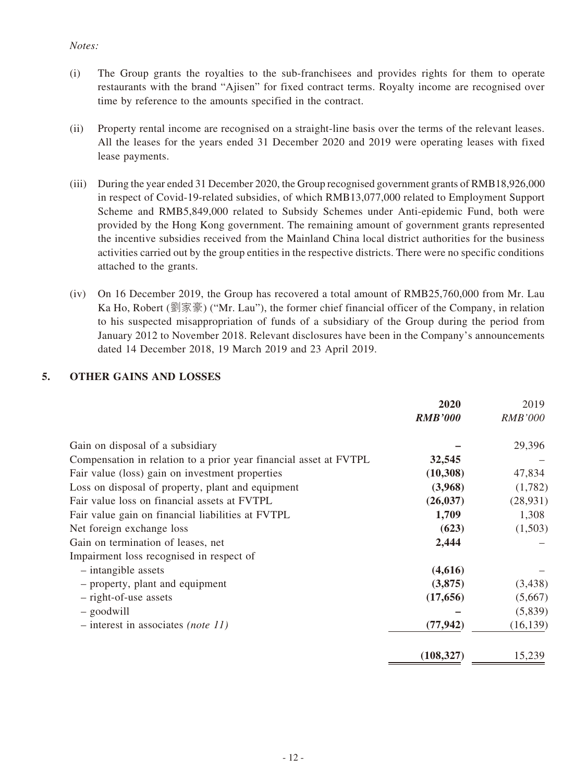#### *Notes:*

- (i) The Group grants the royalties to the sub-franchisees and provides rights for them to operate restaurants with the brand "Ajisen" for fixed contract terms. Royalty income are recognised over time by reference to the amounts specified in the contract.
- (ii) Property rental income are recognised on a straight-line basis over the terms of the relevant leases. All the leases for the years ended 31 December 2020 and 2019 were operating leases with fixed lease payments.
- (iii) During the year ended 31 December 2020, the Group recognised government grants of RMB18,926,000 in respect of Covid-19-related subsidies, of which RMB13,077,000 related to Employment Support Scheme and RMB5,849,000 related to Subsidy Schemes under Anti-epidemic Fund, both were provided by the Hong Kong government. The remaining amount of government grants represented the incentive subsidies received from the Mainland China local district authorities for the business activities carried out by the group entities in the respective districts. There were no specific conditions attached to the grants.
- (iv) On 16 December 2019, the Group has recovered a total amount of RMB25,760,000 from Mr. Lau Ka Ho, Robert (劉家豪) ("Mr. Lau"), the former chief financial officer of the Company, in relation to his suspected misappropriation of funds of a subsidiary of the Group during the period from January 2012 to November 2018. Relevant disclosures have been in the Company's announcements dated 14 December 2018, 19 March 2019 and 23 April 2019.

## **5. OTHER GAINS AND LOSSES**

|                                                                   | 2020           | 2019           |
|-------------------------------------------------------------------|----------------|----------------|
|                                                                   | <b>RMB'000</b> | <b>RMB'000</b> |
| Gain on disposal of a subsidiary                                  |                | 29,396         |
| Compensation in relation to a prior year financial asset at FVTPL | 32,545         |                |
| Fair value (loss) gain on investment properties                   | (10,308)       | 47,834         |
| Loss on disposal of property, plant and equipment                 | (3,968)        | (1,782)        |
| Fair value loss on financial assets at FVTPL                      | (26, 037)      | (28, 931)      |
| Fair value gain on financial liabilities at FVTPL                 | 1,709          | 1,308          |
| Net foreign exchange loss                                         | (623)          | (1,503)        |
| Gain on termination of leases, net                                | 2,444          |                |
| Impairment loss recognised in respect of                          |                |                |
| $-$ intangible assets                                             | (4,616)        |                |
| - property, plant and equipment                                   | (3,875)        | (3, 438)       |
| - right-of-use assets                                             | (17, 656)      | (5,667)        |
| $-$ goodwill                                                      |                | (5,839)        |
| $-$ interest in associates <i>(note 11)</i>                       | (77, 942)      | (16, 139)      |
|                                                                   | (108, 327)     | 15,239         |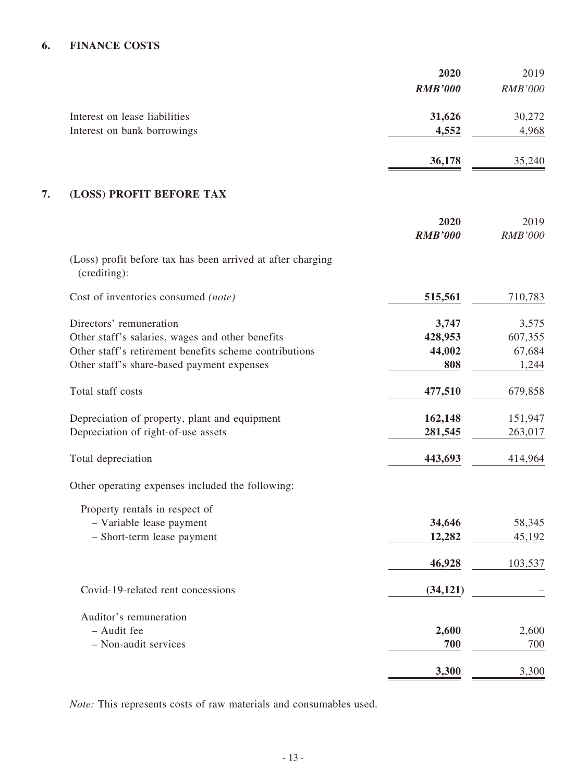## **6. FINANCE COSTS**

|                               | 2020           | 2019           |
|-------------------------------|----------------|----------------|
|                               | <b>RMB'000</b> | <b>RMB'000</b> |
| Interest on lease liabilities | 31,626         | 30,272         |
| Interest on bank borrowings   | 4,552          | 4,968          |
|                               | 36,178         | 35,240         |

#### **7. (LOSS) PROFIT BEFORE TAX**

|                                                                             | 2020           | 2019           |
|-----------------------------------------------------------------------------|----------------|----------------|
|                                                                             | <b>RMB'000</b> | <b>RMB'000</b> |
| (Loss) profit before tax has been arrived at after charging<br>(crediting): |                |                |
| Cost of inventories consumed (note)                                         | 515,561        | 710,783        |
| Directors' remuneration                                                     | 3,747          | 3,575          |
| Other staff's salaries, wages and other benefits                            | 428,953        | 607,355        |
| Other staff's retirement benefits scheme contributions                      | 44,002         | 67,684         |
| Other staff's share-based payment expenses                                  | 808            | 1,244          |
| Total staff costs                                                           | 477,510        | 679,858        |
| Depreciation of property, plant and equipment                               | 162,148        | 151,947        |
| Depreciation of right-of-use assets                                         | 281,545        | 263,017        |
| Total depreciation                                                          | 443,693        | 414,964        |
| Other operating expenses included the following:                            |                |                |
| Property rentals in respect of                                              |                |                |
| - Variable lease payment                                                    | 34,646         | 58,345         |
| - Short-term lease payment                                                  | 12,282         | 45,192         |
|                                                                             | 46,928         | 103,537        |
| Covid-19-related rent concessions                                           | (34, 121)      |                |
| Auditor's remuneration                                                      |                |                |
| - Audit fee                                                                 | 2,600          | 2,600          |
| - Non-audit services                                                        | 700            | 700            |
|                                                                             | 3,300          | 3,300          |

*Note:* This represents costs of raw materials and consumables used.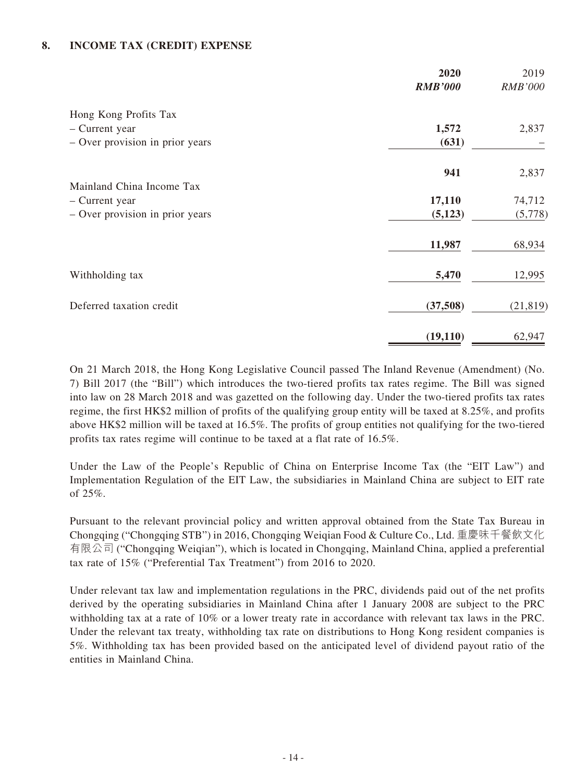#### **8. INCOME TAX (CREDIT) EXPENSE**

|                                                   | 2020<br><b>RMB'000</b> | 2019<br><b>RMB'000</b> |
|---------------------------------------------------|------------------------|------------------------|
| Hong Kong Profits Tax<br>- Current year           | 1,572                  | 2,837                  |
| - Over provision in prior years                   | (631)                  |                        |
|                                                   | 941                    | 2,837                  |
| Mainland China Income Tax                         |                        |                        |
| - Current year<br>- Over provision in prior years | 17,110<br>(5, 123)     | 74,712<br>(5,778)      |
|                                                   | 11,987                 | 68,934                 |
| Withholding tax                                   | 5,470                  | 12,995                 |
| Deferred taxation credit                          | (37,508)               | (21, 819)              |
|                                                   | (19, 110)              | 62,947                 |

On 21 March 2018, the Hong Kong Legislative Council passed The Inland Revenue (Amendment) (No. 7) Bill 2017 (the "Bill") which introduces the two-tiered profits tax rates regime. The Bill was signed into law on 28 March 2018 and was gazetted on the following day. Under the two-tiered profits tax rates regime, the first HK\$2 million of profits of the qualifying group entity will be taxed at 8.25%, and profits above HK\$2 million will be taxed at 16.5%. The profits of group entities not qualifying for the two-tiered profits tax rates regime will continue to be taxed at a flat rate of 16.5%.

Under the Law of the People's Republic of China on Enterprise Income Tax (the "EIT Law") and Implementation Regulation of the EIT Law, the subsidiaries in Mainland China are subject to EIT rate of 25%.

Pursuant to the relevant provincial policy and written approval obtained from the State Tax Bureau in Chongqing ("Chongqing STB") in 2016, Chongqing Weiqian Food & Culture Co., Ltd. 重慶味千餐飲文化 有限公司 ("Chongqing Weiqian"), which is located in Chongqing, Mainland China, applied a preferential tax rate of 15% ("Preferential Tax Treatment") from 2016 to 2020.

Under relevant tax law and implementation regulations in the PRC, dividends paid out of the net profits derived by the operating subsidiaries in Mainland China after 1 January 2008 are subject to the PRC withholding tax at a rate of 10% or a lower treaty rate in accordance with relevant tax laws in the PRC. Under the relevant tax treaty, withholding tax rate on distributions to Hong Kong resident companies is 5%. Withholding tax has been provided based on the anticipated level of dividend payout ratio of the entities in Mainland China.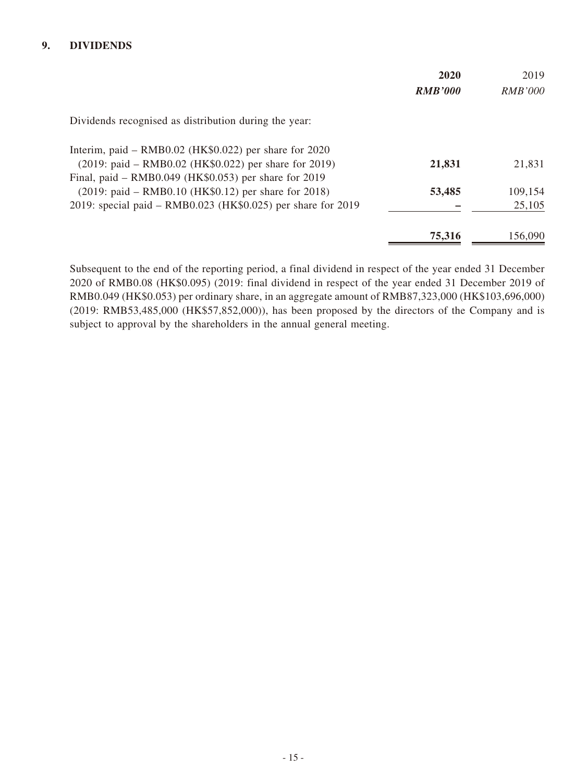#### **9. DIVIDENDS**

|                                                              | 2020<br><b>RMB'000</b> | 2019<br><i>RMB'000</i> |
|--------------------------------------------------------------|------------------------|------------------------|
|                                                              |                        |                        |
| Dividends recognised as distribution during the year:        |                        |                        |
| Interim, paid – RMB0.02 (HK\$0.022) per share for 2020       |                        |                        |
| $(2019:$ paid – RMB0.02 (HK\$0.022) per share for 2019)      | 21,831                 | 21,831                 |
| Final, paid – RMB0.049 (HK\$0.053) per share for 2019        |                        |                        |
| $(2019:$ paid – RMB0.10 (HK\$0.12) per share for 2018)       | 53,485                 | 109,154                |
| 2019: special paid - RMB0.023 (HK\$0.025) per share for 2019 |                        | 25,105                 |
|                                                              | 75,316                 | 156,090                |

Subsequent to the end of the reporting period, a final dividend in respect of the year ended 31 December 2020 of RMB0.08 (HK\$0.095) (2019: final dividend in respect of the year ended 31 December 2019 of RMB0.049 (HK\$0.053) per ordinary share, in an aggregate amount of RMB87,323,000 (HK\$103,696,000) (2019: RMB53,485,000 (HK\$57,852,000)), has been proposed by the directors of the Company and is subject to approval by the shareholders in the annual general meeting.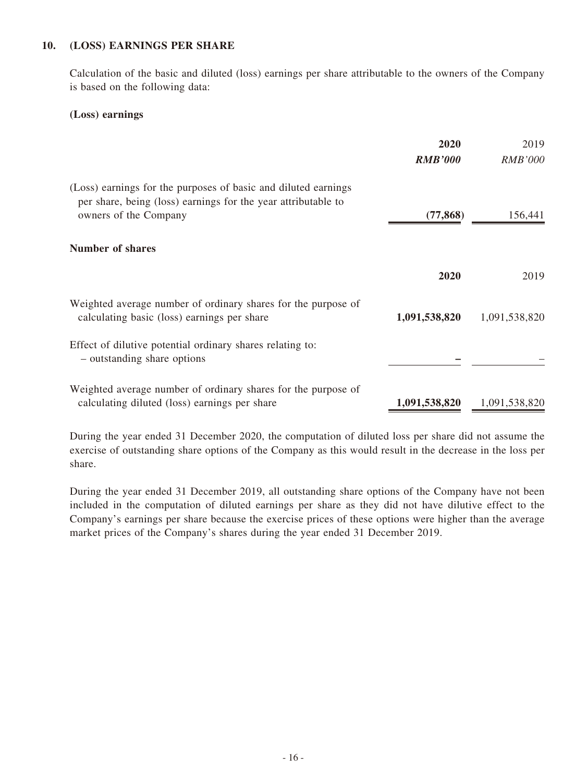#### **10. (LOSS) EARNINGS PER SHARE**

Calculation of the basic and diluted (loss) earnings per share attributable to the owners of the Company is based on the following data:

#### **(Loss) earnings**

|                                                                                                                                                          | 2020<br><b>RMB'000</b> | 2019<br><i>RMB'000</i> |
|----------------------------------------------------------------------------------------------------------------------------------------------------------|------------------------|------------------------|
| (Loss) earnings for the purposes of basic and diluted earnings<br>per share, being (loss) earnings for the year attributable to<br>owners of the Company | (77, 868)              | 156,441                |
| Number of shares                                                                                                                                         |                        |                        |
|                                                                                                                                                          | 2020                   | 2019                   |
| Weighted average number of ordinary shares for the purpose of<br>calculating basic (loss) earnings per share                                             | 1,091,538,820          | 1,091,538,820          |
| Effect of dilutive potential ordinary shares relating to:<br>- outstanding share options                                                                 |                        |                        |
| Weighted average number of ordinary shares for the purpose of<br>calculating diluted (loss) earnings per share                                           | 1,091,538,820          | 1,091,538,820          |

During the year ended 31 December 2020, the computation of diluted loss per share did not assume the exercise of outstanding share options of the Company as this would result in the decrease in the loss per share.

During the year ended 31 December 2019, all outstanding share options of the Company have not been included in the computation of diluted earnings per share as they did not have dilutive effect to the Company's earnings per share because the exercise prices of these options were higher than the average market prices of the Company's shares during the year ended 31 December 2019.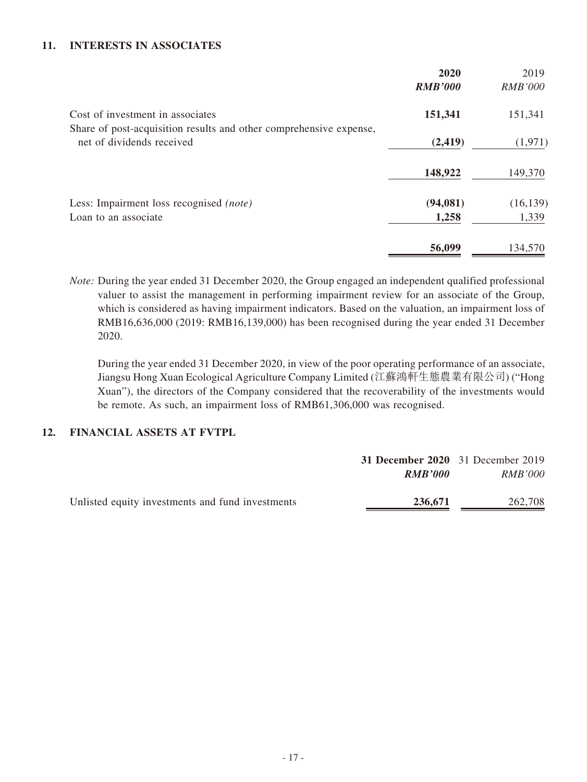#### **11. INTERESTS IN ASSOCIATES**

|                                                                                                 | 2020<br><b>RMB'000</b> | 2019<br><b>RMB'000</b> |
|-------------------------------------------------------------------------------------------------|------------------------|------------------------|
| Cost of investment in associates                                                                | 151,341                | 151,341                |
| Share of post-acquisition results and other comprehensive expense,<br>net of dividends received | (2, 419)               | (1,971)                |
|                                                                                                 | 148,922                | 149,370                |
| Less: Impairment loss recognised (note)                                                         | (94, 081)              | (16, 139)              |
| Loan to an associate                                                                            | 1,258                  | 1,339                  |
|                                                                                                 | 56,099                 | 134,570                |

*Note:* During the year ended 31 December 2020, the Group engaged an independent qualified professional valuer to assist the management in performing impairment review for an associate of the Group, which is considered as having impairment indicators. Based on the valuation, an impairment loss of RMB16,636,000 (2019: RMB16,139,000) has been recognised during the year ended 31 December 2020.

During the year ended 31 December 2020, in view of the poor operating performance of an associate, Jiangsu Hong Xuan Ecological Agriculture Company Limited (江蘇鴻軒生態農業有限公司) ("Hong Xuan"), the directors of the Company considered that the recoverability of the investments would be remote. As such, an impairment loss of RMB61,306,000 was recognised.

#### **12. FINANCIAL ASSETS AT FVTPL**

|                                                  | 31 December 2020 31 December 2019 |                |
|--------------------------------------------------|-----------------------------------|----------------|
|                                                  | RMB'000                           | <i>RMB'000</i> |
| Unlisted equity investments and fund investments | 236,671                           | 262,708        |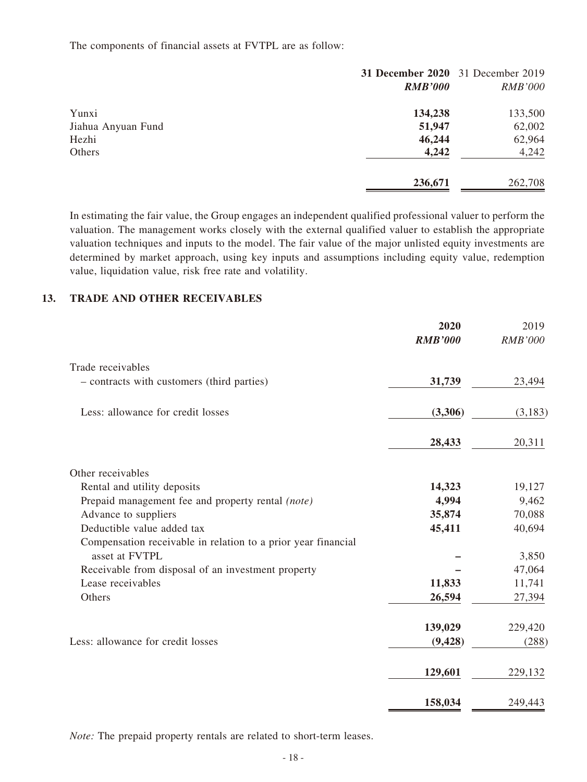The components of financial assets at FVTPL are as follow:

|                    |                | 31 December 2020 31 December 2019 |
|--------------------|----------------|-----------------------------------|
|                    | <b>RMB'000</b> | <b>RMB'000</b>                    |
| Yunxi              | 134,238        | 133,500                           |
| Jiahua Anyuan Fund | 51,947         | 62,002                            |
| Hezhi              | 46,244         | 62,964                            |
| Others             | 4,242          | 4,242                             |
|                    | 236,671        | 262,708                           |

In estimating the fair value, the Group engages an independent qualified professional valuer to perform the valuation. The management works closely with the external qualified valuer to establish the appropriate valuation techniques and inputs to the model. The fair value of the major unlisted equity investments are determined by market approach, using key inputs and assumptions including equity value, redemption value, liquidation value, risk free rate and volatility.

#### **13. TRADE AND OTHER RECEIVABLES**

|                                                               | 2020<br><b>RMB'000</b> | 2019<br><b>RMB'000</b> |
|---------------------------------------------------------------|------------------------|------------------------|
| Trade receivables                                             |                        |                        |
| - contracts with customers (third parties)                    | 31,739                 | 23,494                 |
| Less: allowance for credit losses                             | (3,306)                | (3,183)                |
|                                                               | 28,433                 | 20,311                 |
| Other receivables                                             |                        |                        |
| Rental and utility deposits                                   | 14,323                 | 19,127                 |
| Prepaid management fee and property rental (note)             | 4,994                  | 9,462                  |
| Advance to suppliers                                          | 35,874                 | 70,088                 |
| Deductible value added tax                                    | 45,411                 | 40,694                 |
| Compensation receivable in relation to a prior year financial |                        |                        |
| asset at FVTPL                                                |                        | 3,850                  |
| Receivable from disposal of an investment property            |                        | 47,064                 |
| Lease receivables                                             | 11,833                 | 11,741                 |
| Others                                                        | 26,594                 | 27,394                 |
|                                                               | 139,029                | 229,420                |
| Less: allowance for credit losses                             | (9, 428)               | (288)                  |
|                                                               | 129,601                | 229,132                |
|                                                               | 158,034                | 249,443                |

*Note:* The prepaid property rentals are related to short-term leases.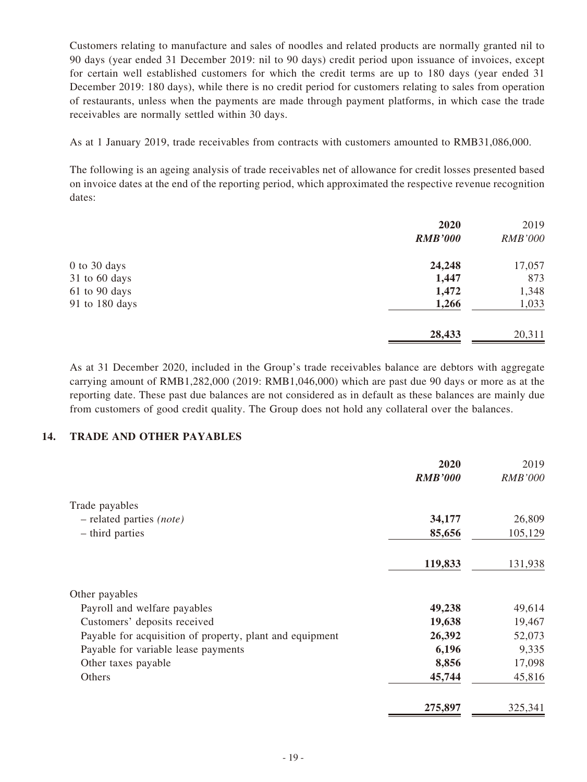Customers relating to manufacture and sales of noodles and related products are normally granted nil to 90 days (year ended 31 December 2019: nil to 90 days) credit period upon issuance of invoices, except for certain well established customers for which the credit terms are up to 180 days (year ended 31 December 2019: 180 days), while there is no credit period for customers relating to sales from operation of restaurants, unless when the payments are made through payment platforms, in which case the trade receivables are normally settled within 30 days.

As at 1 January 2019, trade receivables from contracts with customers amounted to RMB31,086,000.

The following is an ageing analysis of trade receivables net of allowance for credit losses presented based on invoice dates at the end of the reporting period, which approximated the respective revenue recognition dates:

|                | 2020<br><b>RMB'000</b> | 2019<br><b>RMB'000</b> |
|----------------|------------------------|------------------------|
|                |                        |                        |
| 0 to 30 days   | 24,248                 | 17,057                 |
| 31 to 60 days  | 1,447                  | 873                    |
| 61 to 90 days  | 1,472                  | 1,348                  |
| 91 to 180 days | 1,266                  | 1,033                  |
|                | 28,433                 | 20,311                 |

As at 31 December 2020, included in the Group's trade receivables balance are debtors with aggregate carrying amount of RMB1,282,000 (2019: RMB1,046,000) which are past due 90 days or more as at the reporting date. These past due balances are not considered as in default as these balances are mainly due from customers of good credit quality. The Group does not hold any collateral over the balances.

#### **14. TRADE AND OTHER PAYABLES**

|                                                          | 2020<br><b>RMB'000</b> | 2019<br><b>RMB'000</b> |
|----------------------------------------------------------|------------------------|------------------------|
| Trade payables                                           |                        |                        |
| $-$ related parties (note)                               | 34,177                 | 26,809                 |
| - third parties                                          | 85,656                 | 105,129                |
|                                                          | 119,833                | 131,938                |
| Other payables                                           |                        |                        |
| Payroll and welfare payables                             | 49,238                 | 49,614                 |
| Customers' deposits received                             | 19,638                 | 19,467                 |
| Payable for acquisition of property, plant and equipment | 26,392                 | 52,073                 |
| Payable for variable lease payments                      | 6,196                  | 9,335                  |
| Other taxes payable                                      | 8,856                  | 17,098                 |
| Others                                                   | 45,744                 | 45,816                 |
|                                                          | 275,897                | 325,341                |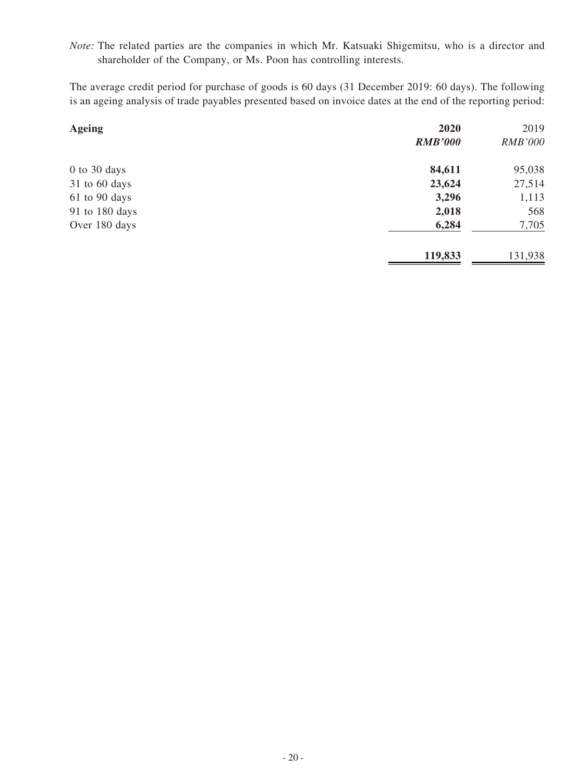*Note:* The related parties are the companies in which Mr. Katsuaki Shigemitsu, who is a director and shareholder of the Company, or Ms. Poon has controlling interests.

The average credit period for purchase of goods is 60 days (31 December 2019: 60 days). The following is an ageing analysis of trade payables presented based on invoice dates at the end of the reporting period:

| <b>Ageing</b>  | 2020           | 2019           |
|----------------|----------------|----------------|
|                | <b>RMB'000</b> | <b>RMB'000</b> |
| $0$ to 30 days | 84,611         | 95,038         |
| 31 to 60 days  | 23,624         | 27,514         |
| 61 to 90 days  | 3,296          | 1,113          |
| 91 to 180 days | 2,018          | 568            |
| Over 180 days  | 6,284          | 7,705          |
|                | 119,833        | 131,938        |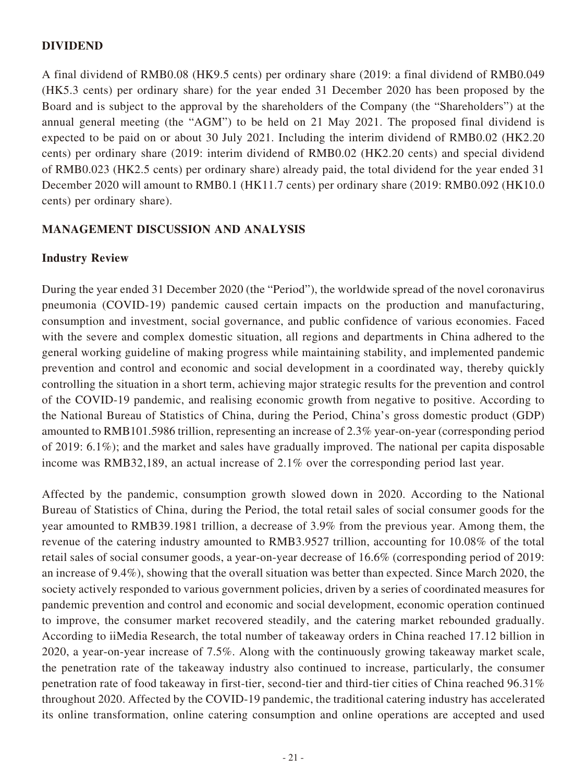#### **DIVIDEND**

A final dividend of RMB0.08 (HK9.5 cents) per ordinary share (2019: a final dividend of RMB0.049 (HK5.3 cents) per ordinary share) for the year ended 31 December 2020 has been proposed by the Board and is subject to the approval by the shareholders of the Company (the "Shareholders") at the annual general meeting (the "AGM") to be held on 21 May 2021. The proposed final dividend is expected to be paid on or about 30 July 2021. Including the interim dividend of RMB0.02 (HK2.20 cents) per ordinary share (2019: interim dividend of RMB0.02 (HK2.20 cents) and special dividend of RMB0.023 (HK2.5 cents) per ordinary share) already paid, the total dividend for the year ended 31 December 2020 will amount to RMB0.1 (HK11.7 cents) per ordinary share (2019: RMB0.092 (HK10.0 cents) per ordinary share).

#### **MANAGEMENT DISCUSSION AND ANALYSIS**

#### **Industry Review**

During the year ended 31 December 2020 (the "Period"), the worldwide spread of the novel coronavirus pneumonia (COVID-19) pandemic caused certain impacts on the production and manufacturing, consumption and investment, social governance, and public confidence of various economies. Faced with the severe and complex domestic situation, all regions and departments in China adhered to the general working guideline of making progress while maintaining stability, and implemented pandemic prevention and control and economic and social development in a coordinated way, thereby quickly controlling the situation in a short term, achieving major strategic results for the prevention and control of the COVID-19 pandemic, and realising economic growth from negative to positive. According to the National Bureau of Statistics of China, during the Period, China's gross domestic product (GDP) amounted to RMB101.5986 trillion, representing an increase of 2.3% year-on-year (corresponding period of 2019: 6.1%); and the market and sales have gradually improved. The national per capita disposable income was RMB32,189, an actual increase of 2.1% over the corresponding period last year.

Affected by the pandemic, consumption growth slowed down in 2020. According to the National Bureau of Statistics of China, during the Period, the total retail sales of social consumer goods for the year amounted to RMB39.1981 trillion, a decrease of 3.9% from the previous year. Among them, the revenue of the catering industry amounted to RMB3.9527 trillion, accounting for 10.08% of the total retail sales of social consumer goods, a year-on-year decrease of 16.6% (corresponding period of 2019: an increase of 9.4%), showing that the overall situation was better than expected. Since March 2020, the society actively responded to various government policies, driven by a series of coordinated measures for pandemic prevention and control and economic and social development, economic operation continued to improve, the consumer market recovered steadily, and the catering market rebounded gradually. According to iiMedia Research, the total number of takeaway orders in China reached 17.12 billion in 2020, a year-on-year increase of 7.5%. Along with the continuously growing takeaway market scale, the penetration rate of the takeaway industry also continued to increase, particularly, the consumer penetration rate of food takeaway in first-tier, second-tier and third-tier cities of China reached 96.31% throughout 2020. Affected by the COVID-19 pandemic, the traditional catering industry has accelerated its online transformation, online catering consumption and online operations are accepted and used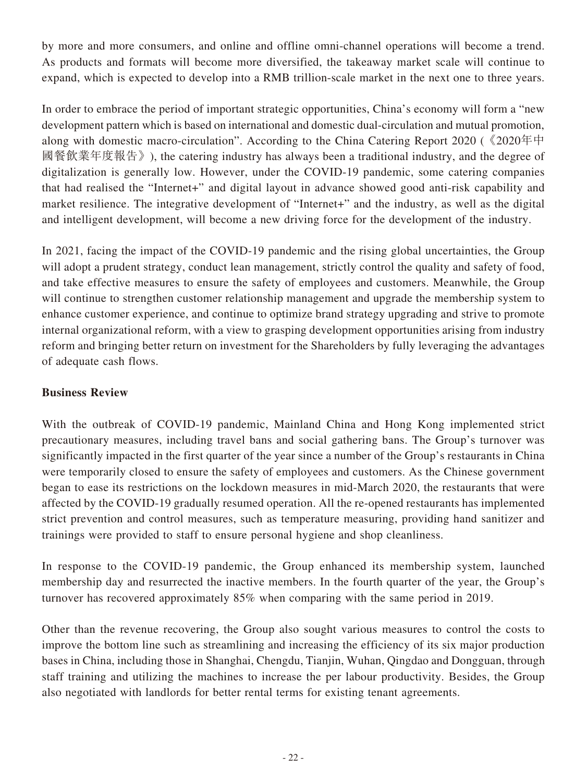by more and more consumers, and online and offline omni-channel operations will become a trend. As products and formats will become more diversified, the takeaway market scale will continue to expand, which is expected to develop into a RMB trillion-scale market in the next one to three years.

In order to embrace the period of important strategic opportunities, China's economy will form a "new development pattern which is based on international and domestic dual-circulation and mutual promotion, along with domestic macro-circulation". According to the China Catering Report 2020 (《2020年中 國餐飲業年度報告》), the catering industry has always been a traditional industry, and the degree of digitalization is generally low. However, under the COVID-19 pandemic, some catering companies that had realised the "Internet+" and digital layout in advance showed good anti-risk capability and market resilience. The integrative development of "Internet+" and the industry, as well as the digital and intelligent development, will become a new driving force for the development of the industry.

In 2021, facing the impact of the COVID-19 pandemic and the rising global uncertainties, the Group will adopt a prudent strategy, conduct lean management, strictly control the quality and safety of food, and take effective measures to ensure the safety of employees and customers. Meanwhile, the Group will continue to strengthen customer relationship management and upgrade the membership system to enhance customer experience, and continue to optimize brand strategy upgrading and strive to promote internal organizational reform, with a view to grasping development opportunities arising from industry reform and bringing better return on investment for the Shareholders by fully leveraging the advantages of adequate cash flows.

## **Business Review**

With the outbreak of COVID-19 pandemic, Mainland China and Hong Kong implemented strict precautionary measures, including travel bans and social gathering bans. The Group's turnover was significantly impacted in the first quarter of the year since a number of the Group's restaurants in China were temporarily closed to ensure the safety of employees and customers. As the Chinese government began to ease its restrictions on the lockdown measures in mid-March 2020, the restaurants that were affected by the COVID-19 gradually resumed operation. All the re-opened restaurants has implemented strict prevention and control measures, such as temperature measuring, providing hand sanitizer and trainings were provided to staff to ensure personal hygiene and shop cleanliness.

In response to the COVID-19 pandemic, the Group enhanced its membership system, launched membership day and resurrected the inactive members. In the fourth quarter of the year, the Group's turnover has recovered approximately 85% when comparing with the same period in 2019.

Other than the revenue recovering, the Group also sought various measures to control the costs to improve the bottom line such as streamlining and increasing the efficiency of its six major production bases in China, including those in Shanghai, Chengdu, Tianjin, Wuhan, Qingdao and Dongguan, through staff training and utilizing the machines to increase the per labour productivity. Besides, the Group also negotiated with landlords for better rental terms for existing tenant agreements.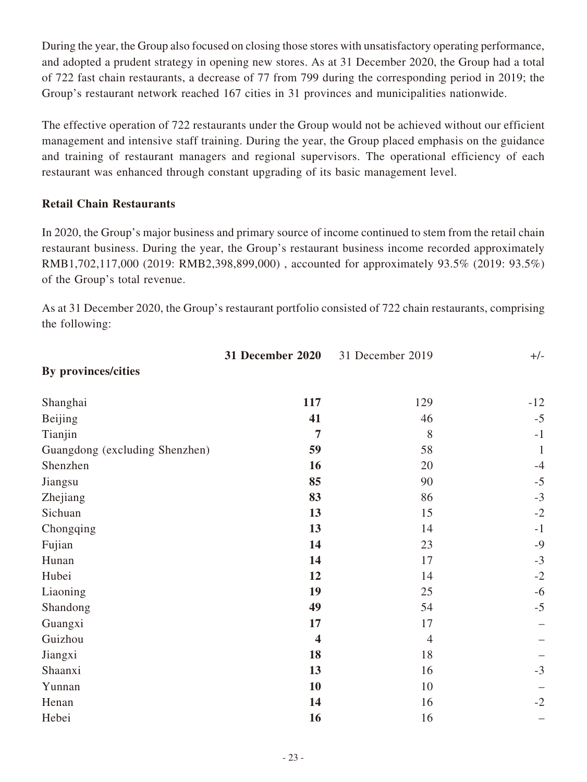During the year, the Group also focused on closing those stores with unsatisfactory operating performance, and adopted a prudent strategy in opening new stores. As at 31 December 2020, the Group had a total of 722 fast chain restaurants, a decrease of 77 from 799 during the corresponding period in 2019; the Group's restaurant network reached 167 cities in 31 provinces and municipalities nationwide.

The effective operation of 722 restaurants under the Group would not be achieved without our efficient management and intensive staff training. During the year, the Group placed emphasis on the guidance and training of restaurant managers and regional supervisors. The operational efficiency of each restaurant was enhanced through constant upgrading of its basic management level.

## **Retail Chain Restaurants**

In 2020, the Group's major business and primary source of income continued to stem from the retail chain restaurant business. During the year, the Group's restaurant business income recorded approximately RMB1,702,117,000 (2019: RMB2,398,899,000) , accounted for approximately 93.5% (2019: 93.5%) of the Group's total revenue.

As at 31 December 2020, the Group's restaurant portfolio consisted of 722 chain restaurants, comprising the following:

|                                | <b>31 December 2020</b> | 31 December 2019 | $+/-$        |
|--------------------------------|-------------------------|------------------|--------------|
| By provinces/cities            |                         |                  |              |
| Shanghai                       | 117                     | 129              | $-12$        |
| Beijing                        | 41                      | 46               | $-5$         |
| Tianjin                        | 7                       | 8                | $-1$         |
| Guangdong (excluding Shenzhen) | 59                      | 58               | $\mathbf{1}$ |
| Shenzhen                       | 16                      | 20               | $-4$         |
| Jiangsu                        | 85                      | 90               | $-5$         |
| Zhejiang                       | 83                      | 86               | $-3$         |
| Sichuan                        | 13                      | 15               | $-2$         |
| Chongqing                      | 13                      | 14               | $-1$         |
| Fujian                         | 14                      | 23               | $-9$         |
| Hunan                          | 14                      | 17               | $-3$         |
| Hubei                          | 12                      | 14               | $-2$         |
| Liaoning                       | 19                      | 25               | $-6$         |
| Shandong                       | 49                      | 54               | $-5$         |
| Guangxi                        | 17                      | 17               |              |
| Guizhou                        | $\overline{\mathbf{4}}$ | $\overline{4}$   |              |
| Jiangxi                        | 18                      | 18               |              |
| Shaanxi                        | 13                      | 16               | $-3$         |
| Yunnan                         | 10                      | 10               |              |
| Henan                          | 14                      | 16               | $-2$         |
| Hebei                          | 16                      | 16               |              |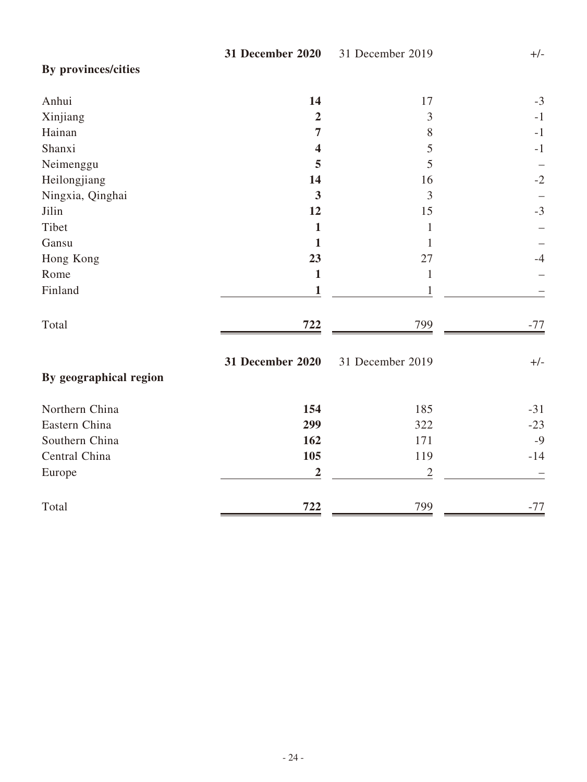**By provinces/cities**

| Anhui                  | 14                      | 17               | $-3$  |
|------------------------|-------------------------|------------------|-------|
| Xinjiang               | $\overline{2}$          | 3                | $-1$  |
| Hainan                 | $\overline{7}$          | 8                | $-1$  |
| Shanxi                 | $\overline{\mathbf{4}}$ | 5                | $-1$  |
| Neimenggu              | 5                       | 5                |       |
| Heilongjiang           | 14                      | 16               | $-2$  |
| Ningxia, Qinghai       | $\overline{\mathbf{3}}$ | 3                |       |
| Jilin                  | 12                      | 15               | $-3$  |
| Tibet                  | $\mathbf{1}$            | $\mathbf{1}$     |       |
| Gansu                  | 1                       | 1                |       |
| Hong Kong              | 23                      | 27               | $-4$  |
| Rome                   | $\mathbf{1}$            | $\mathbf{1}$     |       |
| Finland                | 1                       | 1                |       |
| Total                  | 722                     | 799              | $-77$ |
| By geographical region | <b>31 December 2020</b> | 31 December 2019 | $+/-$ |
| Northern China         | 154                     | 185              | $-31$ |
| Eastern China          | 299                     | 322              | $-23$ |
| Southern China         | 162                     | 171              | $-9$  |
| Central China          | 105                     | 119              | $-14$ |
| Europe                 | $\overline{2}$          | $\mathbf{2}$     |       |
| Total                  | 722                     | 799              | $-77$ |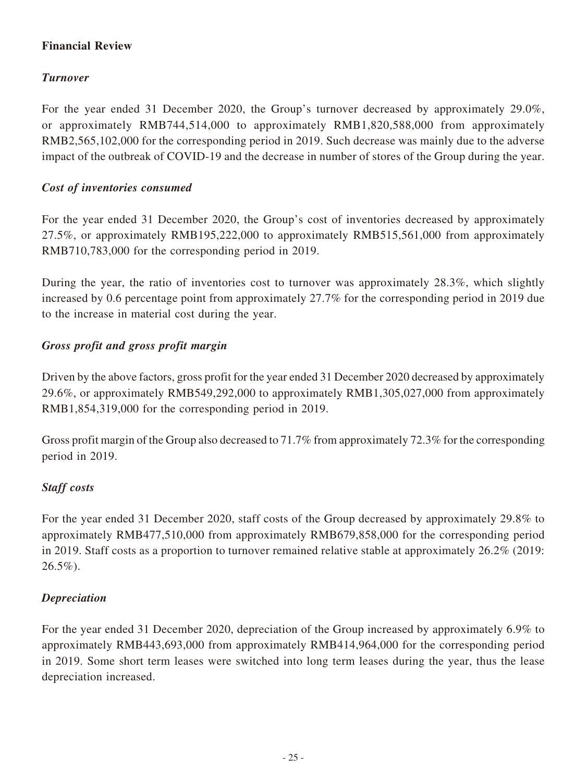## **Financial Review**

## *Turnover*

For the year ended 31 December 2020, the Group's turnover decreased by approximately 29.0%, or approximately RMB744,514,000 to approximately RMB1,820,588,000 from approximately RMB2,565,102,000 for the corresponding period in 2019. Such decrease was mainly due to the adverse impact of the outbreak of COVID-19 and the decrease in number of stores of the Group during the year.

## *Cost of inventories consumed*

For the year ended 31 December 2020, the Group's cost of inventories decreased by approximately 27.5%, or approximately RMB195,222,000 to approximately RMB515,561,000 from approximately RMB710,783,000 for the corresponding period in 2019.

During the year, the ratio of inventories cost to turnover was approximately 28.3%, which slightly increased by 0.6 percentage point from approximately 27.7% for the corresponding period in 2019 due to the increase in material cost during the year.

## *Gross profit and gross profit margin*

Driven by the above factors, gross profit for the year ended 31 December 2020 decreased by approximately 29.6%, or approximately RMB549,292,000 to approximately RMB1,305,027,000 from approximately RMB1,854,319,000 for the corresponding period in 2019.

Gross profit margin of the Group also decreased to 71.7% from approximately 72.3% for the corresponding period in 2019.

## *Staff costs*

For the year ended 31 December 2020, staff costs of the Group decreased by approximately 29.8% to approximately RMB477,510,000 from approximately RMB679,858,000 for the corresponding period in 2019. Staff costs as a proportion to turnover remained relative stable at approximately 26.2% (2019:  $26.5\%$ ).

## *Depreciation*

For the year ended 31 December 2020, depreciation of the Group increased by approximately 6.9% to approximately RMB443,693,000 from approximately RMB414,964,000 for the corresponding period in 2019. Some short term leases were switched into long term leases during the year, thus the lease depreciation increased.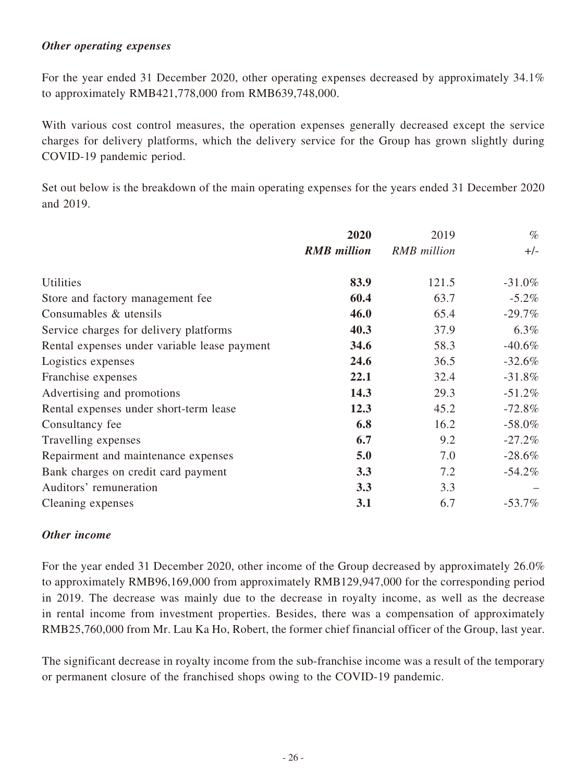#### *Other operating expenses*

For the year ended 31 December 2020, other operating expenses decreased by approximately 34.1% to approximately RMB421,778,000 from RMB639,748,000.

With various cost control measures, the operation expenses generally decreased except the service charges for delivery platforms, which the delivery service for the Group has grown slightly during COVID-19 pandemic period.

Set out below is the breakdown of the main operating expenses for the years ended 31 December 2020 and 2019.

|                                              | 2020               | 2019               | $\%$      |
|----------------------------------------------|--------------------|--------------------|-----------|
|                                              | <b>RMB</b> million | <b>RMB</b> million | $+/-$     |
| <b>Utilities</b>                             | 83.9               | 121.5              | $-31.0\%$ |
| Store and factory management fee             | 60.4               | 63.7               | $-5.2\%$  |
| Consumables & utensils                       | 46.0               | 65.4               | $-29.7\%$ |
| Service charges for delivery platforms       | 40.3               | 37.9               | $6.3\%$   |
| Rental expenses under variable lease payment | 34.6               | 58.3               | $-40.6\%$ |
| Logistics expenses                           | 24.6               | 36.5               | $-32.6\%$ |
| Franchise expenses                           | 22.1               | 32.4               | $-31.8\%$ |
| Advertising and promotions                   | 14.3               | 29.3               | $-51.2\%$ |
| Rental expenses under short-term lease       | 12.3               | 45.2               | $-72.8\%$ |
| Consultancy fee                              | 6.8                | 16.2               | $-58.0\%$ |
| Travelling expenses                          | 6.7                | 9.2                | $-27.2%$  |
| Repairment and maintenance expenses          | 5.0                | 7.0                | $-28.6\%$ |
| Bank charges on credit card payment          | 3.3                | 7.2                | $-54.2\%$ |
| Auditors' remuneration                       | 3.3                | 3.3                |           |
| Cleaning expenses                            | 3.1                | 6.7                | $-53.7\%$ |

## *Other income*

For the year ended 31 December 2020, other income of the Group decreased by approximately 26.0% to approximately RMB96,169,000 from approximately RMB129,947,000 for the corresponding period in 2019. The decrease was mainly due to the decrease in royalty income, as well as the decrease in rental income from investment properties. Besides, there was a compensation of approximately RMB25,760,000 from Mr. Lau Ka Ho, Robert, the former chief financial officer of the Group, last year.

The significant decrease in royalty income from the sub-franchise income was a result of the temporary or permanent closure of the franchised shops owing to the COVID-19 pandemic.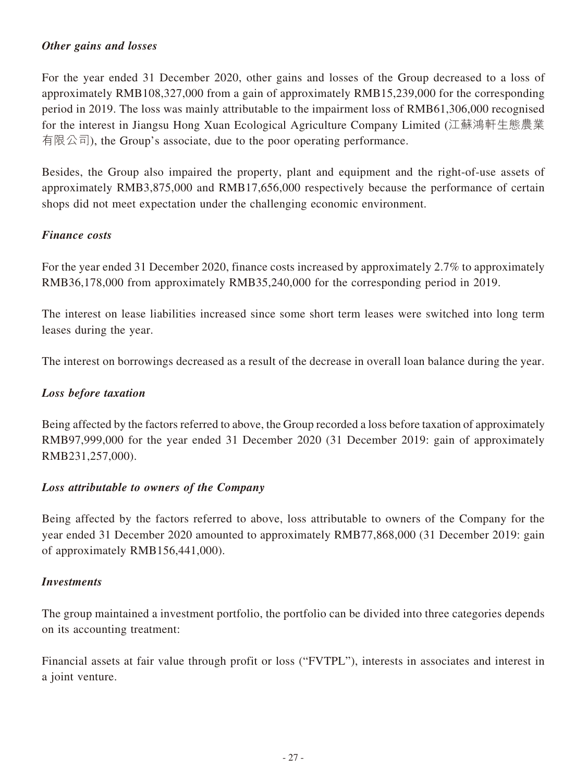## *Other gains and losses*

For the year ended 31 December 2020, other gains and losses of the Group decreased to a loss of approximately RMB108,327,000 from a gain of approximately RMB15,239,000 for the corresponding period in 2019. The loss was mainly attributable to the impairment loss of RMB61,306,000 recognised for the interest in Jiangsu Hong Xuan Ecological Agriculture Company Limited (江蘇鴻軒生態農業 有限公司), the Group's associate, due to the poor operating performance.

Besides, the Group also impaired the property, plant and equipment and the right-of-use assets of approximately RMB3,875,000 and RMB17,656,000 respectively because the performance of certain shops did not meet expectation under the challenging economic environment.

## *Finance costs*

For the year ended 31 December 2020, finance costs increased by approximately 2.7% to approximately RMB36,178,000 from approximately RMB35,240,000 for the corresponding period in 2019.

The interest on lease liabilities increased since some short term leases were switched into long term leases during the year.

The interest on borrowings decreased as a result of the decrease in overall loan balance during the year.

## *Loss before taxation*

Being affected by the factors referred to above, the Group recorded a loss before taxation of approximately RMB97,999,000 for the year ended 31 December 2020 (31 December 2019: gain of approximately RMB231,257,000).

## *Loss attributable to owners of the Company*

Being affected by the factors referred to above, loss attributable to owners of the Company for the year ended 31 December 2020 amounted to approximately RMB77,868,000 (31 December 2019: gain of approximately RMB156,441,000).

## *Investments*

The group maintained a investment portfolio, the portfolio can be divided into three categories depends on its accounting treatment:

Financial assets at fair value through profit or loss ("FVTPL"), interests in associates and interest in a joint venture.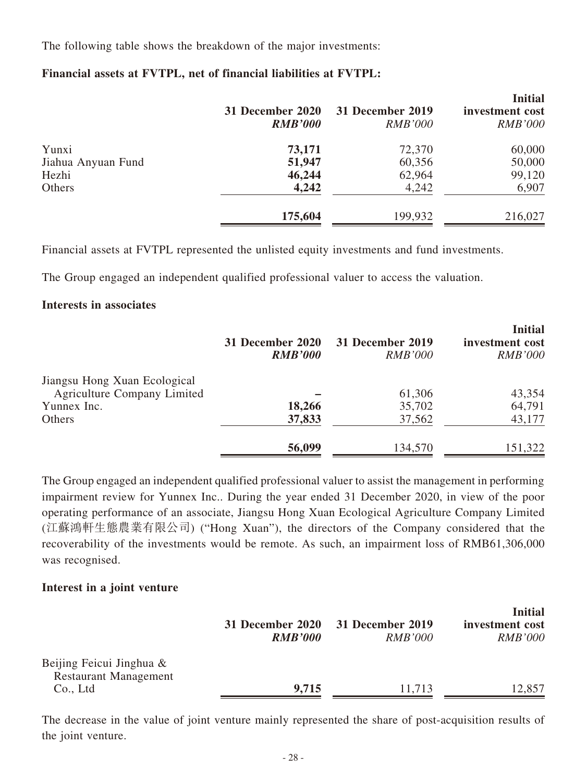The following table shows the breakdown of the major investments:

#### **Financial assets at FVTPL, net of financial liabilities at FVTPL:**

|                    | 31 December 2020<br><b>RMB'000</b> | 31 December 2019<br><i>RMB'000</i> | <b>Initial</b><br>investment cost<br><b>RMB'000</b> |
|--------------------|------------------------------------|------------------------------------|-----------------------------------------------------|
| Yunxi              | 73,171                             | 72,370                             | 60,000                                              |
| Jiahua Anyuan Fund | 51,947                             | 60,356                             | 50,000                                              |
| Hezhi              | 46,244                             | 62,964                             | 99,120                                              |
| Others             | 4,242                              | 4,242                              | 6,907                                               |
|                    | 175,604                            | 199,932                            | 216,027                                             |

Financial assets at FVTPL represented the unlisted equity investments and fund investments.

The Group engaged an independent qualified professional valuer to access the valuation.

#### **Interests in associates**

|                                                                    | 31 December 2020<br><b>RMB'000</b> | 31 December 2019<br><i>RMB'000</i> | <b>Initial</b><br>investment cost<br><b>RMB'000</b> |
|--------------------------------------------------------------------|------------------------------------|------------------------------------|-----------------------------------------------------|
| Jiangsu Hong Xuan Ecological<br><b>Agriculture Company Limited</b> |                                    | 61,306                             | 43,354                                              |
| Yunnex Inc.                                                        | 18,266                             | 35,702                             | 64,791                                              |
| Others                                                             | 37,833                             | 37,562                             | 43,177                                              |
|                                                                    | 56,099                             | 134,570                            | 151,322                                             |

The Group engaged an independent qualified professional valuer to assist the management in performing impairment review for Yunnex Inc.. During the year ended 31 December 2020, in view of the poor operating performance of an associate, Jiangsu Hong Xuan Ecological Agriculture Company Limited (江蘇鴻軒生態農業有限公司) ("Hong Xuan"), the directors of the Company considered that the recoverability of the investments would be remote. As such, an impairment loss of RMB61,306,000 was recognised.

#### **Interest in a joint venture**

|                                                                      | <b>RMB'000</b> | 31 December 2020 31 December 2019<br><i>RMB'000</i> | <b>Initial</b><br>investment cost<br><i>RMB'000</i> |
|----------------------------------------------------------------------|----------------|-----------------------------------------------------|-----------------------------------------------------|
| Beijing Feicui Jinghua &<br><b>Restaurant Management</b><br>Co., Ltd | 9,715          | 11,713                                              | 12,857                                              |

The decrease in the value of joint venture mainly represented the share of post-acquisition results of the joint venture.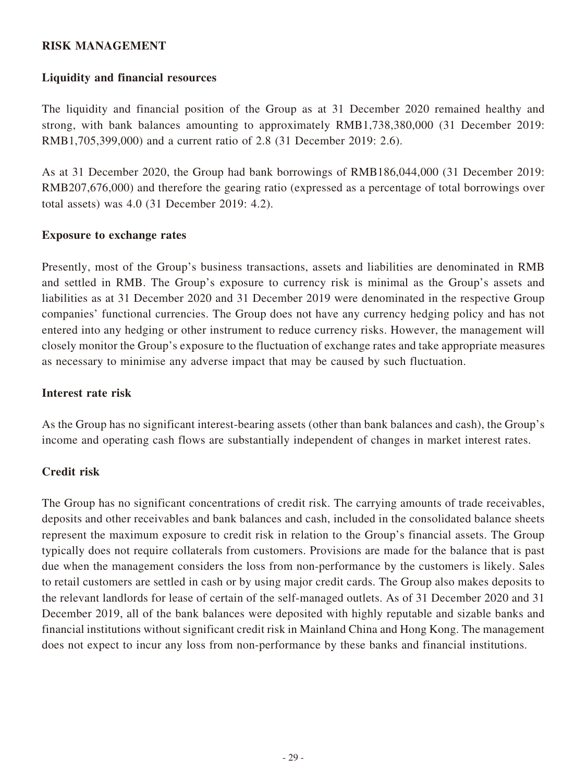#### **RISK MANAGEMENT**

#### **Liquidity and financial resources**

The liquidity and financial position of the Group as at 31 December 2020 remained healthy and strong, with bank balances amounting to approximately RMB1,738,380,000 (31 December 2019: RMB1,705,399,000) and a current ratio of 2.8 (31 December 2019: 2.6).

As at 31 December 2020, the Group had bank borrowings of RMB186,044,000 (31 December 2019: RMB207,676,000) and therefore the gearing ratio (expressed as a percentage of total borrowings over total assets) was 4.0 (31 December 2019: 4.2).

#### **Exposure to exchange rates**

Presently, most of the Group's business transactions, assets and liabilities are denominated in RMB and settled in RMB. The Group's exposure to currency risk is minimal as the Group's assets and liabilities as at 31 December 2020 and 31 December 2019 were denominated in the respective Group companies' functional currencies. The Group does not have any currency hedging policy and has not entered into any hedging or other instrument to reduce currency risks. However, the management will closely monitor the Group's exposure to the fluctuation of exchange rates and take appropriate measures as necessary to minimise any adverse impact that may be caused by such fluctuation.

#### **Interest rate risk**

As the Group has no significant interest-bearing assets (other than bank balances and cash), the Group's income and operating cash flows are substantially independent of changes in market interest rates.

#### **Credit risk**

The Group has no significant concentrations of credit risk. The carrying amounts of trade receivables, deposits and other receivables and bank balances and cash, included in the consolidated balance sheets represent the maximum exposure to credit risk in relation to the Group's financial assets. The Group typically does not require collaterals from customers. Provisions are made for the balance that is past due when the management considers the loss from non-performance by the customers is likely. Sales to retail customers are settled in cash or by using major credit cards. The Group also makes deposits to the relevant landlords for lease of certain of the self-managed outlets. As of 31 December 2020 and 31 December 2019, all of the bank balances were deposited with highly reputable and sizable banks and financial institutions without significant credit risk in Mainland China and Hong Kong. The management does not expect to incur any loss from non-performance by these banks and financial institutions.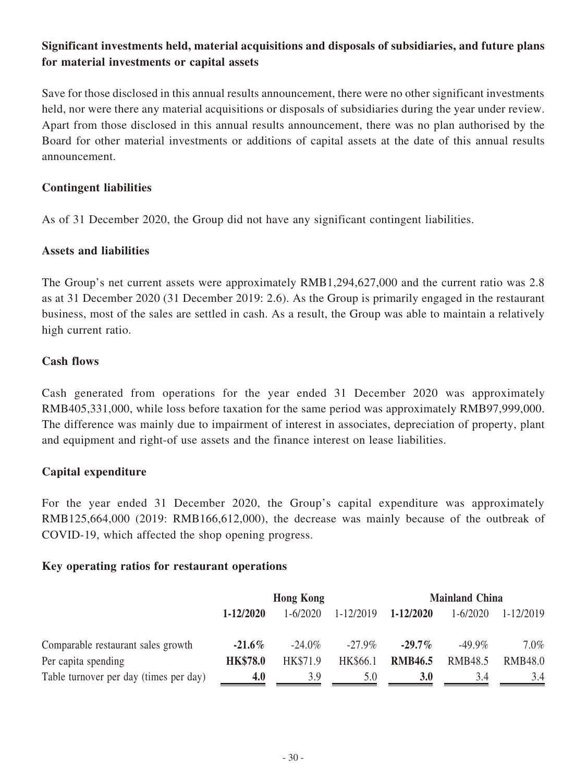## **Significant investments held, material acquisitions and disposals of subsidiaries, and future plans for material investments or capital assets**

Save for those disclosed in this annual results announcement, there were no other significant investments held, nor were there any material acquisitions or disposals of subsidiaries during the year under review. Apart from those disclosed in this annual results announcement, there was no plan authorised by the Board for other material investments or additions of capital assets at the date of this annual results announcement.

#### **Contingent liabilities**

As of 31 December 2020, the Group did not have any significant contingent liabilities.

#### **Assets and liabilities**

The Group's net current assets were approximately RMB1,294,627,000 and the current ratio was 2.8 as at 31 December 2020 (31 December 2019: 2.6). As the Group is primarily engaged in the restaurant business, most of the sales are settled in cash. As a result, the Group was able to maintain a relatively high current ratio.

#### **Cash flows**

Cash generated from operations for the year ended 31 December 2020 was approximately RMB405,331,000, while loss before taxation for the same period was approximately RMB97,999,000. The difference was mainly due to impairment of interest in associates, depreciation of property, plant and equipment and right-of use assets and the finance interest on lease liabilities.

## **Capital expenditure**

For the year ended 31 December 2020, the Group's capital expenditure was approximately RMB125,664,000 (2019: RMB166,612,000), the decrease was mainly because of the outbreak of COVID-19, which affected the shop opening progress.

#### **Key operating ratios for restaurant operations**

|                                        | <b>Hong Kong</b> |              |               | <b>Mainland China</b> |                |                |  |
|----------------------------------------|------------------|--------------|---------------|-----------------------|----------------|----------------|--|
|                                        | 1-12/2020        | $1 - 6/2020$ | $1 - 12/2019$ | $1 - 12/2020$         | $1 - 6/2020$   | 1-12/2019      |  |
| Comparable restaurant sales growth     | $-21.6\%$        | $-24.0\%$    | $-27.9\%$     | $-29.7\%$             | $-49.9\%$      | $7.0\%$        |  |
| Per capita spending                    | <b>HK\$78.0</b>  | HK\$71.9     | HK\$66.1      | <b>RMB46.5</b>        | <b>RMB48.5</b> | <b>RMB48.0</b> |  |
| Table turnover per day (times per day) | 4.0              | 3.9          | 5.0           | 3.0                   | 3.4            | 3.4            |  |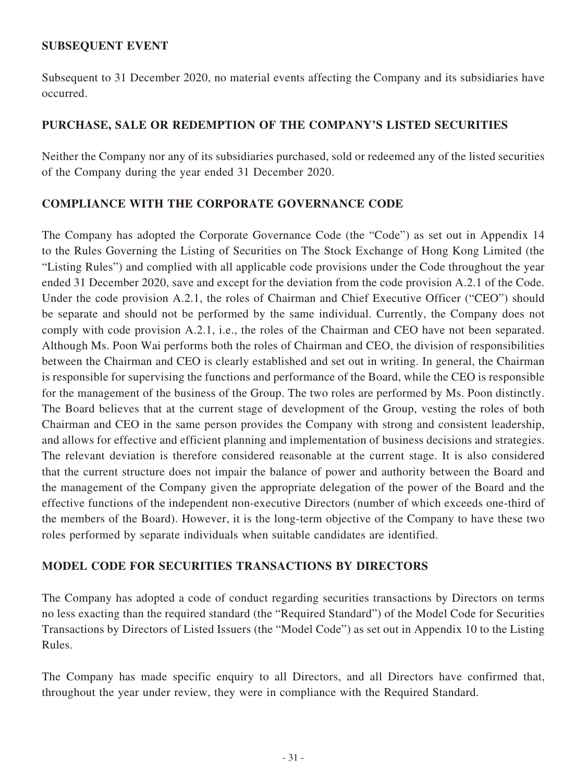## **SUBSEQUENT EVENT**

Subsequent to 31 December 2020, no material events affecting the Company and its subsidiaries have occurred.

#### **PURCHASE, SALE OR REDEMPTION OF THE COMPANY'S LISTED SECURITIES**

Neither the Company nor any of its subsidiaries purchased, sold or redeemed any of the listed securities of the Company during the year ended 31 December 2020.

#### **COMPLIANCE WITH THE CORPORATE GOVERNANCE CODE**

The Company has adopted the Corporate Governance Code (the "Code") as set out in Appendix 14 to the Rules Governing the Listing of Securities on The Stock Exchange of Hong Kong Limited (the "Listing Rules") and complied with all applicable code provisions under the Code throughout the year ended 31 December 2020, save and except for the deviation from the code provision A.2.1 of the Code. Under the code provision A.2.1, the roles of Chairman and Chief Executive Officer ("CEO") should be separate and should not be performed by the same individual. Currently, the Company does not comply with code provision A.2.1, i.e., the roles of the Chairman and CEO have not been separated. Although Ms. Poon Wai performs both the roles of Chairman and CEO, the division of responsibilities between the Chairman and CEO is clearly established and set out in writing. In general, the Chairman is responsible for supervising the functions and performance of the Board, while the CEO is responsible for the management of the business of the Group. The two roles are performed by Ms. Poon distinctly. The Board believes that at the current stage of development of the Group, vesting the roles of both Chairman and CEO in the same person provides the Company with strong and consistent leadership, and allows for effective and efficient planning and implementation of business decisions and strategies. The relevant deviation is therefore considered reasonable at the current stage. It is also considered that the current structure does not impair the balance of power and authority between the Board and the management of the Company given the appropriate delegation of the power of the Board and the effective functions of the independent non-executive Directors (number of which exceeds one-third of the members of the Board). However, it is the long-term objective of the Company to have these two roles performed by separate individuals when suitable candidates are identified.

#### **MODEL CODE FOR SECURITIES TRANSACTIONS BY DIRECTORS**

The Company has adopted a code of conduct regarding securities transactions by Directors on terms no less exacting than the required standard (the "Required Standard") of the Model Code for Securities Transactions by Directors of Listed Issuers (the "Model Code") as set out in Appendix 10 to the Listing Rules.

The Company has made specific enquiry to all Directors, and all Directors have confirmed that, throughout the year under review, they were in compliance with the Required Standard.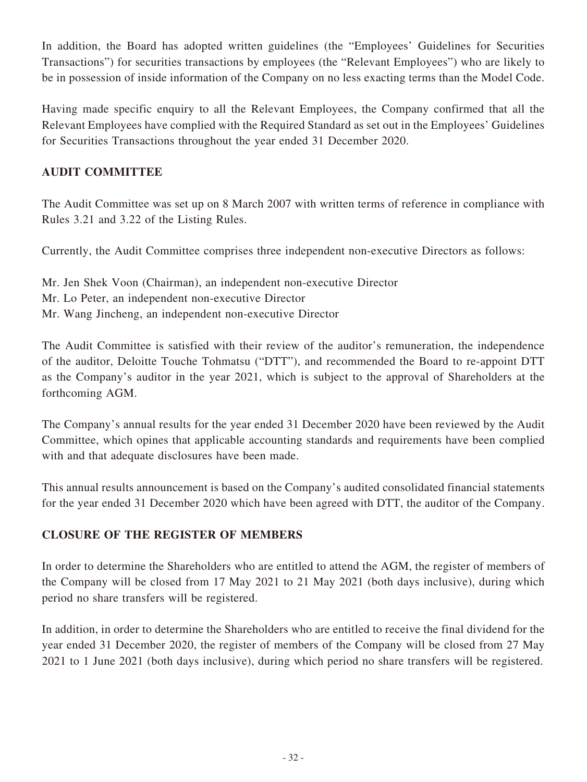In addition, the Board has adopted written guidelines (the "Employees' Guidelines for Securities Transactions") for securities transactions by employees (the "Relevant Employees") who are likely to be in possession of inside information of the Company on no less exacting terms than the Model Code.

Having made specific enquiry to all the Relevant Employees, the Company confirmed that all the Relevant Employees have complied with the Required Standard as set out in the Employees' Guidelines for Securities Transactions throughout the year ended 31 December 2020.

## **AUDIT COMMITTEE**

The Audit Committee was set up on 8 March 2007 with written terms of reference in compliance with Rules 3.21 and 3.22 of the Listing Rules.

Currently, the Audit Committee comprises three independent non-executive Directors as follows:

Mr. Jen Shek Voon (Chairman), an independent non-executive Director Mr. Lo Peter, an independent non-executive Director Mr. Wang Jincheng, an independent non-executive Director

The Audit Committee is satisfied with their review of the auditor's remuneration, the independence of the auditor, Deloitte Touche Tohmatsu ("DTT"), and recommended the Board to re-appoint DTT as the Company's auditor in the year 2021, which is subject to the approval of Shareholders at the forthcoming AGM.

The Company's annual results for the year ended 31 December 2020 have been reviewed by the Audit Committee, which opines that applicable accounting standards and requirements have been complied with and that adequate disclosures have been made.

This annual results announcement is based on the Company's audited consolidated financial statements for the year ended 31 December 2020 which have been agreed with DTT, the auditor of the Company.

## **CLOSURE OF THE REGISTER OF MEMBERS**

In order to determine the Shareholders who are entitled to attend the AGM, the register of members of the Company will be closed from 17 May 2021 to 21 May 2021 (both days inclusive), during which period no share transfers will be registered.

In addition, in order to determine the Shareholders who are entitled to receive the final dividend for the year ended 31 December 2020, the register of members of the Company will be closed from 27 May 2021 to 1 June 2021 (both days inclusive), during which period no share transfers will be registered.